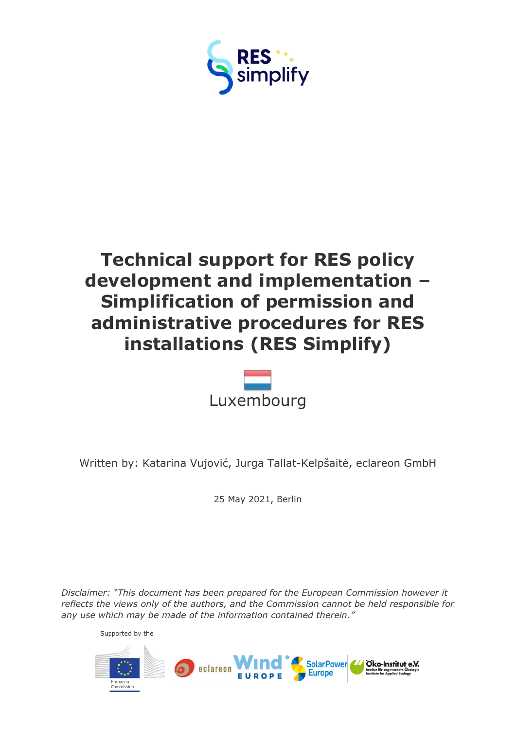



Written by: Katarina Vujović, Jurga Tallat-Kelpšaitė, eclareon GmbH

25 May 2021, Berlin

*Disclaimer: "This document has been prepared for the European Commission however it reflects the views only of the authors, and the Commission cannot be held responsible for any use which may be made of the information contained therein."*

Supported by the

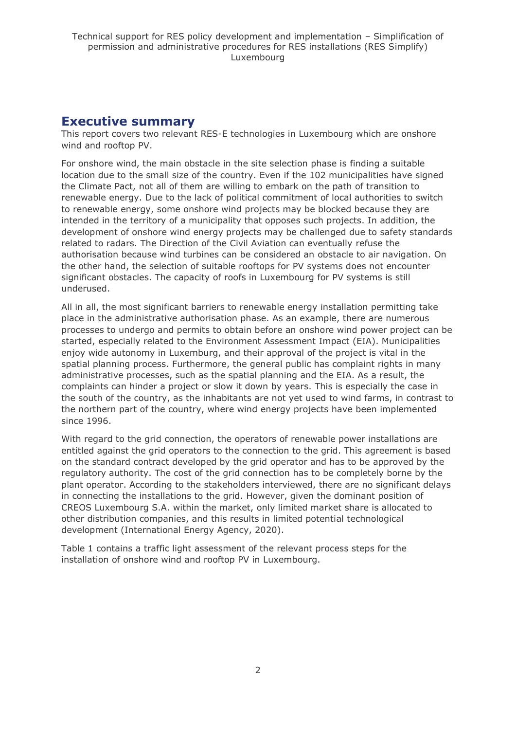## <span id="page-1-0"></span>**Executive summary**

This report covers two relevant RES-E technologies in Luxembourg which are onshore wind and rooftop PV.

For onshore wind, the main obstacle in the site selection phase is finding a suitable location due to the small size of the country. Even if the 102 municipalities have signed the Climate Pact, not all of them are willing to embark on the path of transition to renewable energy. Due to the lack of political commitment of local authorities to switch to renewable energy, some onshore wind projects may be blocked because they are intended in the territory of a municipality that opposes such projects. In addition, the development of onshore wind energy projects may be challenged due to safety standards related to radars. The Direction of the Civil Aviation can eventually refuse the authorisation because wind turbines can be considered an obstacle to air navigation. On the other hand, the selection of suitable rooftops for PV systems does not encounter significant obstacles. The capacity of roofs in Luxembourg for PV systems is still underused.

All in all, the most significant barriers to renewable energy installation permitting take place in the administrative authorisation phase. As an example, there are numerous processes to undergo and permits to obtain before an onshore wind power project can be started, especially related to the Environment Assessment Impact (EIA). Municipalities enjoy wide autonomy in Luxemburg, and their approval of the project is vital in the spatial planning process. Furthermore, the general public has complaint rights in many administrative processes, such as the spatial planning and the EIA. As a result, the complaints can hinder a project or slow it down by years. This is especially the case in the south of the country, as the inhabitants are not yet used to wind farms, in contrast to the northern part of the country, where wind energy projects have been implemented since 1996.

With regard to the grid connection, the operators of renewable power installations are entitled against the grid operators to the connection to the grid. This agreement is based on the standard contract developed by the grid operator and has to be approved by the regulatory authority. The cost of the grid connection has to be completely borne by the plant operator. According to the stakeholders interviewed, there are no significant delays in connecting the installations to the grid. However, given the dominant position of CREOS Luxembourg S.A. within the market, only limited market share is allocated to other distribution companies, and this results in limited potential technological development (International Energy Agency, 2020).

Table 1 contains a traffic light assessment of the relevant process steps for the installation of onshore wind and rooftop PV in Luxembourg.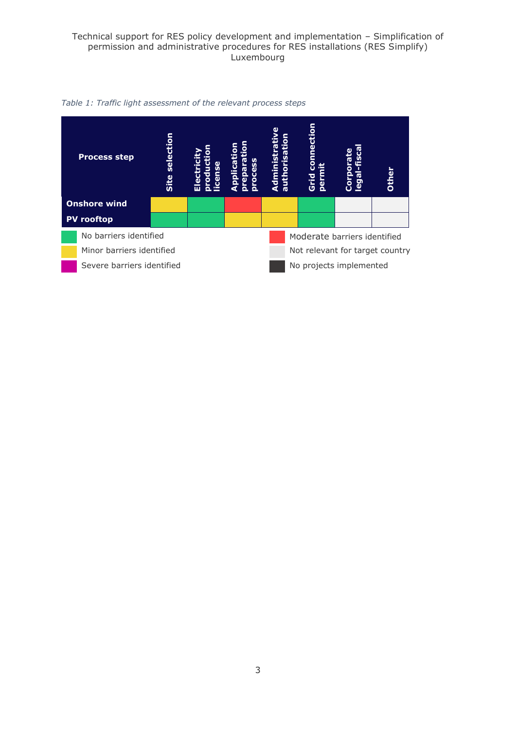

*Table 1: Traffic light assessment of the relevant process steps*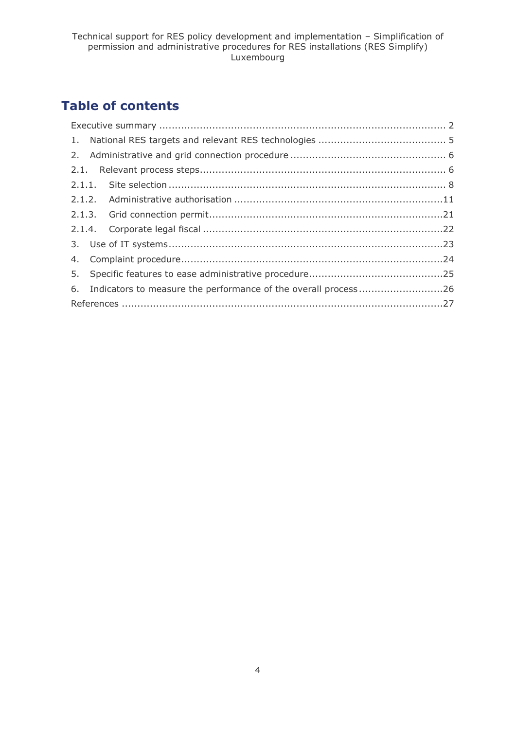## **Table of contents**

| 6. Indicators to measure the performance of the overall process26 |  |
|-------------------------------------------------------------------|--|
|                                                                   |  |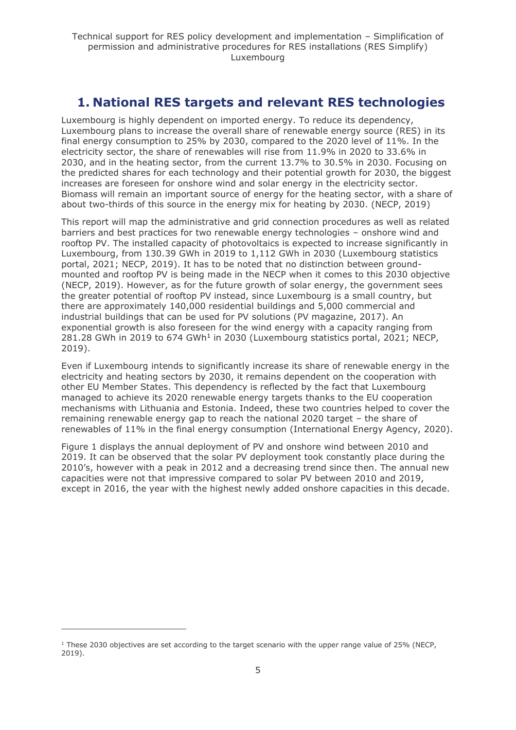## <span id="page-4-0"></span>**1. National RES targets and relevant RES technologies**

Luxembourg is highly dependent on imported energy. To reduce its dependency, Luxembourg plans to increase the overall share of renewable energy source (RES) in its final energy consumption to 25% by 2030, compared to the 2020 level of 11%. In the electricity sector, the share of renewables will rise from 11.9% in 2020 to 33.6% in 2030, and in the heating sector, from the current 13.7% to 30.5% in 2030. Focusing on the predicted shares for each technology and their potential growth for 2030, the biggest increases are foreseen for onshore wind and solar energy in the electricity sector. Biomass will remain an important source of energy for the heating sector, with a share of about two-thirds of this source in the energy mix for heating by 2030. (NECP, 2019)

This report will map the administrative and grid connection procedures as well as related barriers and best practices for two renewable energy technologies – onshore wind and rooftop PV. The installed capacity of photovoltaics is expected to increase significantly in Luxembourg, from 130.39 GWh in 2019 to 1,112 GWh in 2030 (Luxembourg statistics portal, 2021; NECP, 2019). It has to be noted that no distinction between groundmounted and rooftop PV is being made in the NECP when it comes to this 2030 objective (NECP, 2019). However, as for the future growth of solar energy, the government sees the greater potential of rooftop PV instead, since Luxembourg is a small country, but there are approximately 140,000 residential buildings and 5,000 commercial and industrial buildings that can be used for PV solutions (PV magazine, 2017). An exponential growth is also foreseen for the wind energy with a capacity ranging from 281.28 GWh in 2019 to 674 GWh<sup>1</sup> in 2030 (Luxembourg statistics portal, 2021; NECP, 2019).

Even if Luxembourg intends to significantly increase its share of renewable energy in the electricity and heating sectors by 2030, it remains dependent on the cooperation with other EU Member States. This dependency is reflected by the fact that Luxembourg managed to achieve its 2020 renewable energy targets thanks to the EU cooperation mechanisms with Lithuania and Estonia. Indeed, these two countries helped to cover the remaining renewable energy gap to reach the national 2020 target – the share of renewables of 11% in the final energy consumption (International Energy Agency, 2020).

Figure 1 displays the annual deployment of PV and onshore wind between 2010 and 2019. It can be observed that the solar PV deployment took constantly place during the 2010's, however with a peak in 2012 and a decreasing trend since then. The annual new capacities were not that impressive compared to solar PV between 2010 and 2019, except in 2016, the year with the highest newly added onshore capacities in this decade.

 $1$  These 2030 objectives are set according to the target scenario with the upper range value of 25% (NECP, 2019).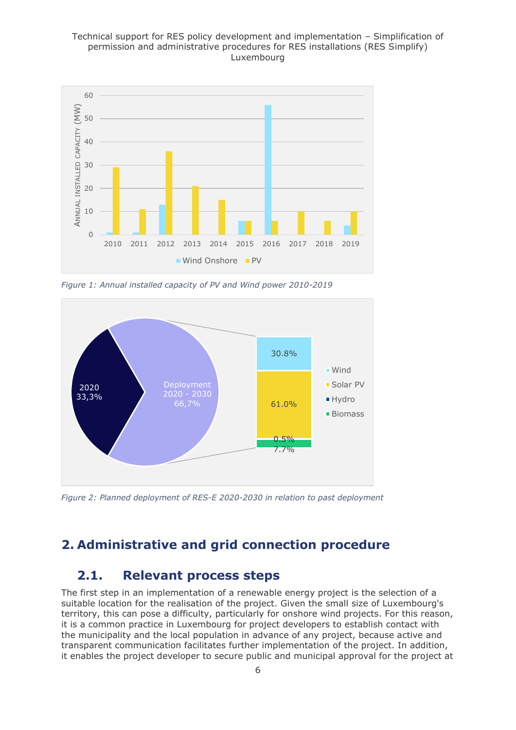

*Figure 1: Annual installed capacity of PV and Wind power 2010-2019*



*Figure 2: Planned deployment of RES-E 2020-2030 in relation to past deployment*

## <span id="page-5-1"></span><span id="page-5-0"></span>**2. Administrative and grid connection procedure**

## **2.1. Relevant process steps**

The first step in an implementation of a renewable energy project is the selection of a suitable location for the realisation of the project. Given the small size of Luxembourg's territory, this can pose a difficulty, particularly for onshore wind projects. For this reason, it is a common practice in Luxembourg for project developers to establish contact with the municipality and the local population in advance of any project, because active and transparent communication facilitates further implementation of the project. In addition, it enables the project developer to secure public and municipal approval for the project at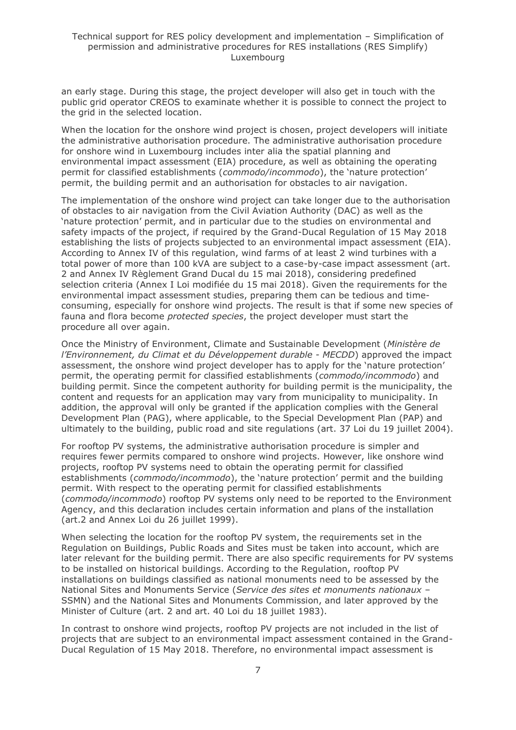an early stage. During this stage, the project developer will also get in touch with the public grid operator CREOS to examinate whether it is possible to connect the project to the grid in the selected location.

When the location for the onshore wind project is chosen, project developers will initiate the administrative authorisation procedure. The administrative authorisation procedure for onshore wind in Luxembourg includes inter alia the spatial planning and environmental impact assessment (EIA) procedure, as well as obtaining the operating permit for classified establishments (*commodo/incommodo*), the 'nature protection' permit, the building permit and an authorisation for obstacles to air navigation.

The implementation of the onshore wind project can take longer due to the authorisation of obstacles to air navigation from the Civil Aviation Authority (DAC) as well as the 'nature protection' permit, and in particular due to the studies on environmental and safety impacts of the project, if required by the Grand-Ducal Regulation of 15 May 2018 establishing the lists of projects subjected to an environmental impact assessment (EIA). According to Annex IV of this regulation, wind farms of at least 2 wind turbines with a total power of more than 100 kVA are subject to a case-by-case impact assessment (art. 2 and Annex IV Règlement Grand Ducal du 15 mai 2018), considering predefined selection criteria (Annex I Loi modifiée du 15 mai 2018). Given the requirements for the environmental impact assessment studies, preparing them can be tedious and timeconsuming, especially for onshore wind projects. The result is that if some new species of fauna and flora become *protected species*, the project developer must start the procedure all over again.

Once the Ministry of Environment, Climate and Sustainable Development (*Ministère de l'Environnement, du Climat et du Développement durable - MECDD*) approved the impact assessment, the onshore wind project developer has to apply for the 'nature protection' permit, the operating permit for classified establishments (*commodo/incommodo*) and building permit. Since the competent authority for building permit is the municipality, the content and requests for an application may vary from municipality to municipality. In addition, the approval will only be granted if the application complies with the General Development Plan (PAG), where applicable, to the Special Development Plan (PAP) and ultimately to the building, public road and site regulations (art. 37 Loi du 19 juillet 2004).

For rooftop PV systems, the administrative authorisation procedure is simpler and requires fewer permits compared to onshore wind projects. However, like onshore wind projects, rooftop PV systems need to obtain the operating permit for classified establishments (*commodo/incommodo*), the 'nature protection' permit and the building permit. With respect to the operating permit for classified establishments (*commodo/incommodo*) rooftop PV systems only need to be reported to the Environment Agency, and this declaration includes certain information and plans of the installation (art.2 and Annex Loi du 26 juillet 1999).

When selecting the location for the rooftop PV system, the requirements set in the Regulation on Buildings, Public Roads and Sites must be taken into account, which are later relevant for the building permit. There are also specific requirements for PV systems to be installed on historical buildings. According to the Regulation, rooftop PV installations on buildings classified as national monuments need to be assessed by the National Sites and Monuments Service (*Service des sites et monuments nationaux* – SSMN) and the National Sites and Monuments Commission, and later approved by the Minister of Culture (art. 2 and art. 40 Loi du 18 juillet 1983).

In contrast to onshore wind projects, rooftop PV projects are not included in the list of projects that are subject to an environmental impact assessment contained in the Grand-Ducal Regulation of 15 May 2018. Therefore, no environmental impact assessment is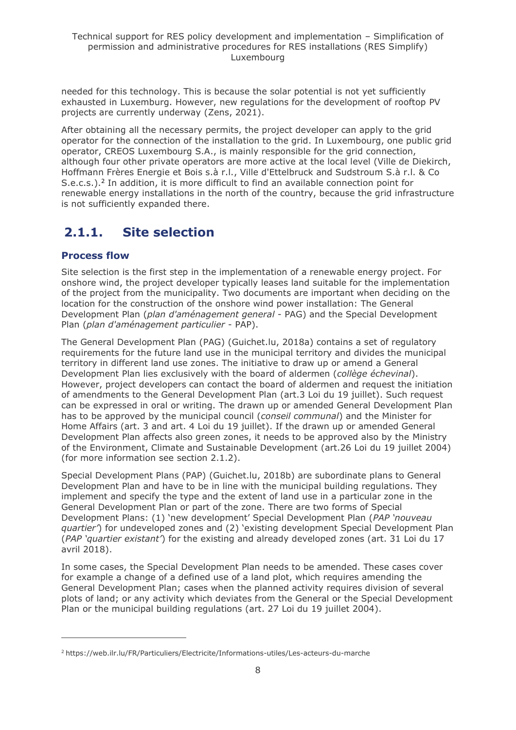needed for this technology. This is because the solar potential is not yet sufficiently exhausted in Luxemburg. However, new regulations for the development of rooftop PV projects are currently underway (Zens, 2021).

After obtaining all the necessary permits, the project developer can apply to the grid operator for the connection of the installation to the grid. In Luxembourg, one public grid operator, CREOS Luxembourg S.A., is mainly responsible for the grid connection, although four other private operators are more active at the local level [\(Ville de Diekirch,](http://www.diekirch.lu/) [Hoffmann Frères Energie et Bois s.à r.l.,](http://www.electris.lu/) [Ville d'Ettelbruck](http://ettelbruck.lu/) and [Sudstroum S.à r.l. & Co](http://www.sudstroum.lu/)  [S.e.c.s.\)](http://www.sudstroum.lu/).<sup>2</sup> In addition, it is more difficult to find an available connection point for renewable energy installations in the north of the country, because the grid infrastructure is not sufficiently expanded there.

## <span id="page-7-0"></span>**2.1.1. Site selection**

## **Process flow**

Site selection is the first step in the implementation of a renewable energy project. For onshore wind, the project developer typically leases land suitable for the implementation of the project from the municipality. Two documents are important when deciding on the location for the construction of the onshore wind power installation: The General Development Plan (*plan d'aménagement general* - PAG) and the Special Development Plan (*plan d'aménagement particulier* - PAP).

The General Development Plan (PAG) (Guichet.lu, 2018a) contains a set of regulatory requirements for the future land use in the municipal territory and divides the municipal territory in different land use zones. The initiative to draw up or amend a General Development Plan lies exclusively with the board of aldermen (*collège échevinal*). However, project developers can contact the board of aldermen and request the initiation of amendments to the General Development Plan (art.3 Loi du 19 juillet). Such request can be expressed in oral or writing. The drawn up or amended General Development Plan has to be approved by the municipal council (*conseil communal*) and the Minister for Home Affairs (art. 3 and art. 4 Loi du 19 juillet). If the drawn up or amended General Development Plan affects also green zones, it needs to be approved also by the Ministry of the Environment, Climate and Sustainable Development (art.26 Loi du 19 juillet 2004) (for more information see section 2.1.2).

Special Development Plans (PAP) (Guichet.lu, 2018b) are subordinate plans to General Development Plan and have to be in line with the municipal building regulations. They implement and specify the type and the extent of land use in a particular zone in the General Development Plan or part of the zone. There are two forms of Special Development Plans: (1) 'new development' Special Development Plan (*PAP 'nouveau quartier'*) for undeveloped zones and (2) 'existing development Special Development Plan (*PAP 'quartier existant'*) for the existing and already developed zones (art. 31 Loi du 17 avril 2018).

In some cases, the Special Development Plan needs to be amended. These cases cover for example a change of a defined use of a land plot, which requires amending the General Development Plan; cases when the planned activity requires division of several plots of land; or any activity which deviates from the General or the Special Development Plan or the municipal building regulations (art. 27 Loi du 19 juillet 2004).

<sup>2</sup> https://web.ilr.lu/FR/Particuliers/Electricite/Informations-utiles/Les-acteurs-du-marche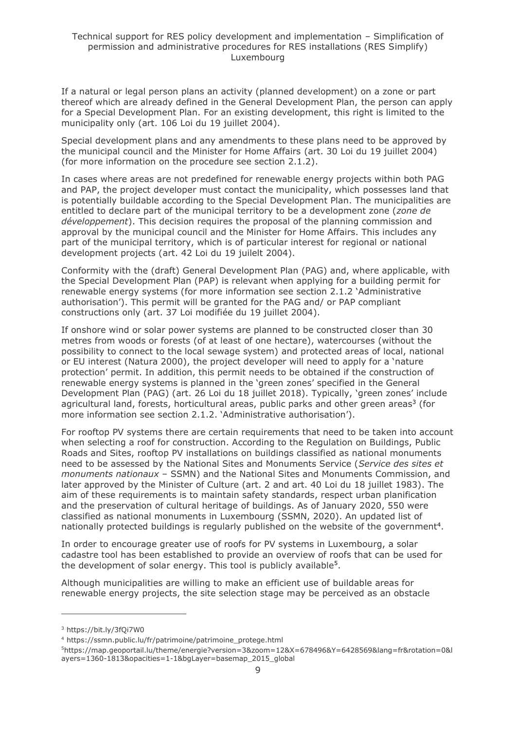If a natural or legal person plans an activity (planned development) on a zone or part thereof which are already defined in the General Development Plan, the person can apply for a Special Development Plan. For an existing development, this right is limited to the municipality only (art. 106 Loi du 19 juillet 2004).

Special development plans and any amendments to these plans need to be approved by the municipal council and the Minister for Home Affairs (art. 30 Loi du 19 juillet 2004) (for more information on the procedure see section 2.1.2).

In cases where areas are not predefined for renewable energy projects within both PAG and PAP, the project developer must contact the municipality, which possesses land that is potentially buildable according to the Special Development Plan. The municipalities are entitled to declare part of the municipal territory to be a development zone (*zone de développement*). This decision requires the proposal of the planning commission and approval by the municipal council and the Minister for Home Affairs. This includes any part of the municipal territory, which is of particular interest for regional or national development projects (art. 42 Loi du 19 juilelt 2004).

Conformity with the (draft) General Development Plan (PAG) and, where applicable, with the Special Development Plan (PAP) is relevant when applying for a building permit for renewable energy systems (for more information see section 2.1.2 'Administrative authorisation'). This permit will be granted for the PAG and/ or PAP compliant constructions only (art. 37 [Loi modifiée du 19 juillet 2004\)](http://eli.legilux.public.lu/eli/etat/leg/loi/2004/07/19/n1).

If onshore wind or solar power systems are planned to be constructed closer than 30 metres from woods or forests (of at least of one hectare), watercourses (without the possibility to connect to the local sewage system) and protected areas of local, national or EU interest (Natura 2000), the project developer will need to apply for a 'nature protection' permit. In addition, this permit needs to be obtained if the construction of renewable energy systems is planned in the 'green zones' specified in the General Development Plan (PAG) (art. 26 Loi du 18 juillet 2018). Typically, 'green zones' include agricultural land, forests, horticultural areas, public parks and other green areas<sup>3</sup> (for more information see section 2.1.2. 'Administrative authorisation').

For rooftop PV systems there are certain requirements that need to be taken into account when selecting a roof for construction. According to the Regulation on Buildings, Public Roads and Sites, rooftop PV installations on buildings classified as national monuments need to be assessed by the National Sites and Monuments Service (*Service des sites et monuments nationaux* – SSMN) and the National Sites and Monuments Commission, and later approved by the Minister of Culture (art. 2 and art. 40 Loi du 18 juillet 1983). The aim of these requirements is to maintain safety standards, respect urban planification and the preservation of cultural heritage of buildings. As of January 2020, 550 were classified as national monuments in Luxembourg (SSMN, 2020). An updated list of nationally protected buildings is regularly published on the website of the government<sup>4</sup>.

In order to encourage greater use of roofs for PV systems in Luxembourg, a solar cadastre tool has been established to provide an overview of roofs that can be used for the development of solar energy. This tool is publicly available<sup>5</sup>.

Although municipalities are willing to make an efficient use of buildable areas for renewable energy projects, the site selection stage may be perceived as an obstacle

<sup>3</sup> https://bit.ly/3fQi7W0

<sup>4</sup> https://ssmn.public.lu/fr/patrimoine/patrimoine\_protege.html

<sup>5</sup>https://map.geoportail.lu/theme/energie?version=3&zoom=12&X=678496&Y=6428569&lang=fr&rotation=0&l ayers=1360-1813&opacities=1-1&bgLayer=basemap\_2015\_global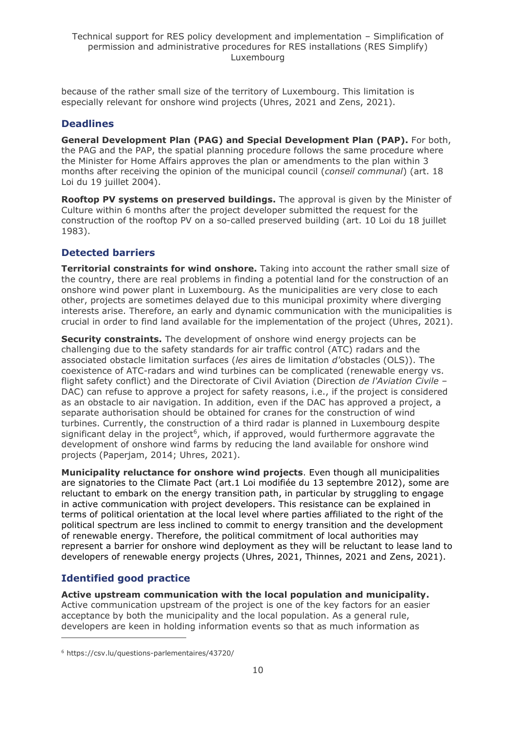because of the rather small size of the territory of Luxembourg. This limitation is especially relevant for onshore wind projects (Uhres, 2021 and Zens, 2021).

## **Deadlines**

**General Development Plan (PAG) and Special Development Plan (PAP).** For both, the PAG and the PAP, the spatial planning procedure follows the same procedure where the Minister for Home Affairs approves the plan or amendments to the plan within 3 months after receiving the opinion of the municipal council (*conseil communal*) (art. 18 Loi du 19 juillet 2004).

**Rooftop PV systems on preserved buildings.** The approval is given by the Minister of Culture within 6 months after the project developer submitted the request for the construction of the rooftop PV on a so-called preserved building (art. 10 Loi du 18 juillet 1983).

## **Detected barriers**

**Territorial constraints for wind onshore.** Taking into account the rather small size of the country, there are real problems in finding a potential land for the construction of an onshore wind power plant in Luxembourg. As the municipalities are very close to each other, projects are sometimes delayed due to this municipal proximity where diverging interests arise. Therefore, an early and dynamic communication with the municipalities is crucial in order to find land available for the implementation of the project (Uhres, 2021).

**Security constraints.** The development of onshore wind energy projects can be challenging due to the safety standards for air traffic control (ATC) radars and the associated obstacle limitation surfaces (*les* aires de limitation *d'*obstacles (OLS)). The coexistence of ATC-radars and wind turbines can be complicated (renewable energy vs. flight safety conflict) and the Directorate of Civil Aviation (Direction *de l'Aviation Civile* – DAC) can refuse to approve a project for safety reasons, i.e., if the project is considered as an obstacle to air navigation. In addition, even if the DAC has approved a project, a separate authorisation should be obtained for cranes for the construction of wind turbines. Currently, the construction of a third radar is planned in Luxembourg despite significant delay in the project<sup>6</sup>, which, if approved, would furthermore aggravate the development of onshore wind farms by reducing the land available for onshore wind projects (Paperjam, 2014; Uhres, 2021).

**Municipality reluctance for onshore wind projects**. Even though all municipalities are signatories to the Climate Pact (art.1 Loi modifiée du 13 septembre 2012), some are reluctant to embark on the energy transition path, in particular by struggling to engage in active communication with project developers. This resistance can be explained in terms of political orientation at the local level where parties affiliated to the right of the political spectrum are less inclined to commit to energy transition and the development of renewable energy. Therefore, the political commitment of local authorities may represent a barrier for onshore wind deployment as they will be reluctant to lease land to developers of renewable energy projects (Uhres, 2021, Thinnes, 2021 and Zens, 2021).

## **Identified good practice**

**Active upstream communication with the local population and municipality.** Active communication upstream of the project is one of the key factors for an easier acceptance by both the municipality and the local population. As a general rule, developers are keen in holding information events so that as much information as

<sup>6</sup> https://csv.lu/questions-parlementaires/43720/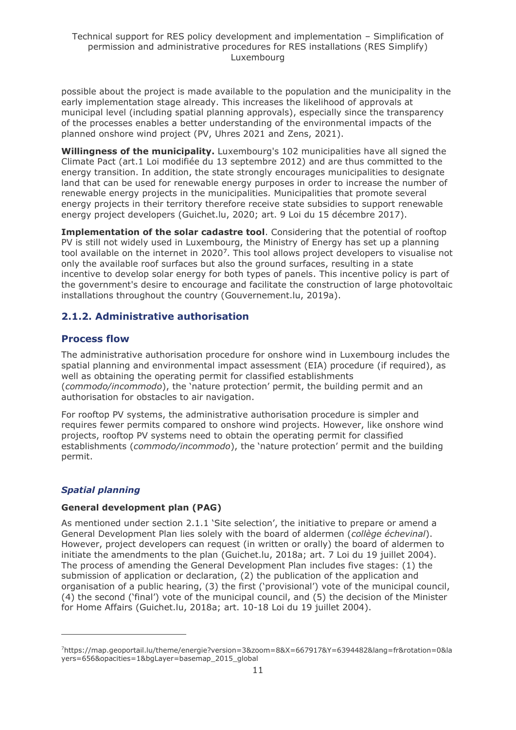possible about the project is made available to the population and the municipality in the early implementation stage already. This increases the likelihood of approvals at municipal level (including spatial planning approvals), especially since the transparency of the processes enables a better understanding of the environmental impacts of the planned onshore wind project (PV, Uhres 2021 and Zens, 2021).

**Willingness of the municipality.** Luxembourg's 102 municipalities have all signed the Climate Pact (art.1 Loi modifiée du 13 septembre 2012) and are thus committed to the energy transition. In addition, the state strongly encourages municipalities to designate land that can be used for renewable energy purposes in order to increase the number of renewable energy projects in the municipalities. Municipalities that promote several energy projects in their territory therefore receive state subsidies to support renewable energy project developers (Guichet.lu, 2020; art. 9 Loi du 15 décembre 2017).

**Implementation of the solar cadastre tool**. Considering that the potential of rooftop PV is still not widely used in Luxembourg, the Ministry of Energy has set up a planning tool available on the internet in 2020<sup>7</sup>. This tool allows project developers to visualise not only the available roof surfaces but also the ground surfaces, resulting in a state incentive to develop solar energy for both types of panels. This incentive policy is part of the government's desire to encourage and facilitate the construction of large photovoltaic installations throughout the country (Gouvernement.lu, 2019a).

## <span id="page-10-0"></span>**2.1.2. Administrative authorisation**

## **Process flow**

The administrative authorisation procedure for onshore wind in Luxembourg includes the spatial planning and environmental impact assessment (EIA) procedure (if required), as well as obtaining the operating permit for classified establishments (*commodo/incommodo*), the 'nature protection' permit, the building permit and an authorisation for obstacles to air navigation.

For rooftop PV systems, the administrative authorisation procedure is simpler and requires fewer permits compared to onshore wind projects. However, like onshore wind projects, rooftop PV systems need to obtain the operating permit for classified establishments (*commodo/incommodo*), the 'nature protection' permit and the building permit.

## *Spatial planning*

#### **General development plan (PAG)**

As mentioned under section 2.1.1 'Site selection', the initiative to prepare or amend a General Development Plan lies solely with the board of aldermen (*collège échevinal*). However, project developers can request (in written or orally) the board of aldermen to initiate the amendments to the plan (Guichet.lu, 2018a; art. 7 Loi du 19 juillet 2004). The process of amending the General Development Plan includes five stages: (1) the submission of application or declaration, (2) the publication of the application and organisation of a public hearing, (3) the first ('provisional') vote of the municipal council, (4) the second ('final') vote of the municipal council, and (5) the decision of the Minister for Home Affairs (Guichet.lu, 2018a; art. 10-18 Loi du 19 juillet 2004).

<sup>7</sup>https://map.geoportail.lu/theme/energie?version=3&zoom=8&X=667917&Y=6394482&lang=fr&rotation=0&la yers=656&opacities=1&bgLayer=basemap\_2015\_global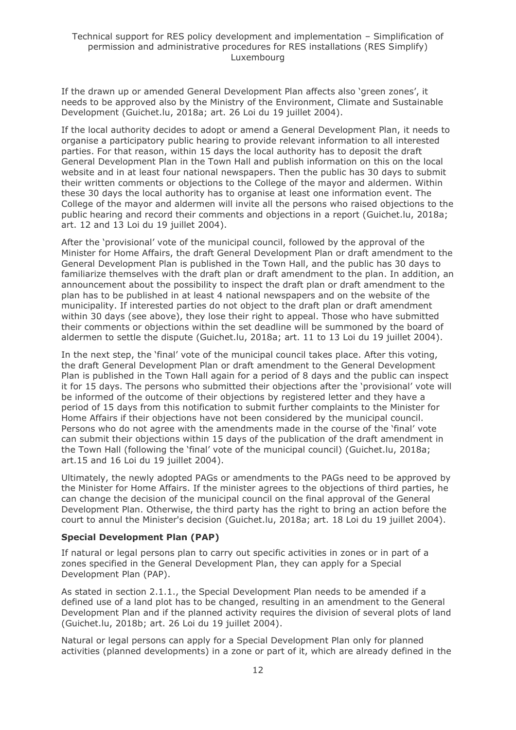If the drawn up or amended General Development Plan affects also 'green zones', it needs to be approved also by the Ministry of the Environment, Climate and Sustainable Development (Guichet.lu, 2018a; art. 26 Loi du 19 juillet 2004).

If the local authority decides to adopt or amend a General Development Plan, it needs to organise a participatory public hearing to provide relevant information to all interested parties. For that reason, within 15 days the local authority has to deposit the draft General Development Plan in the Town Hall and publish information on this on the local website and in at least four national newspapers. Then the public has 30 days to submit their written comments or objections to the College of the mayor and aldermen. Within these 30 days the local authority has to organise at least one information event. The College of the mayor and aldermen will invite all the persons who raised objections to the public hearing and record their comments and objections in a report (Guichet.lu, 2018a; art. 12 and 13 Loi du 19 juillet 2004).

After the 'provisional' vote of the municipal council, followed by the approval of the Minister for Home Affairs, the draft General Development Plan or draft amendment to the General Development Plan is published in the Town Hall, and the public has 30 days to familiarize themselves with the draft plan or draft amendment to the plan. In addition, an announcement about the possibility to inspect the draft plan or draft amendment to the plan has to be published in at least 4 national newspapers and on the website of the municipality. If interested parties do not object to the draft plan or draft amendment within 30 days (see above), they lose their right to appeal. Those who have submitted their comments or objections within the set deadline will be summoned by the board of aldermen to settle the dispute (Guichet.lu, 2018a; art. 11 to 13 Loi du 19 juillet 2004).

In the next step, the 'final' vote of the municipal council takes place. After this voting, the draft General Development Plan or draft amendment to the General Development Plan is published in the Town Hall again for a period of 8 days and the public can inspect it for 15 days. The persons who submitted their objections after the 'provisional' vote will be informed of the outcome of their objections by registered letter and they have a period of 15 days from this notification to submit further complaints to the Minister for Home Affairs if their objections have not been considered by the municipal council. Persons who do not agree with the amendments made in the course of the 'final' vote can submit their objections within 15 days of the publication of the draft amendment in the Town Hall (following the 'final' vote of the municipal council) (Guichet.lu, 2018a; art.15 and 16 Loi du 19 juillet 2004).

Ultimately, the newly adopted PAGs or amendments to the PAGs need to be approved by the Minister for Home Affairs. If the minister agrees to the objections of third parties, he can change the decision of the municipal council on the final approval of the General Development Plan. Otherwise, the third party has the right to bring an action before the court to annul the Minister's decision (Guichet.lu, 2018a; art. 18 Loi du 19 juillet 2004).

#### **Special Development Plan (PAP)**

If natural or legal persons plan to carry out specific activities in zones or in part of a zones specified in the General Development Plan, they can apply for a Special Development Plan (PAP).

As stated in section 2.1.1., the Special Development Plan needs to be amended if a defined use of a land plot has to be changed, resulting in an amendment to the General Development Plan and if the planned activity requires the division of several plots of land (Guichet.lu, 2018b; art. 26 Loi du 19 juillet 2004).

Natural or legal persons can apply for a Special Development Plan only for planned activities (planned developments) in a zone or part of it, which are already defined in the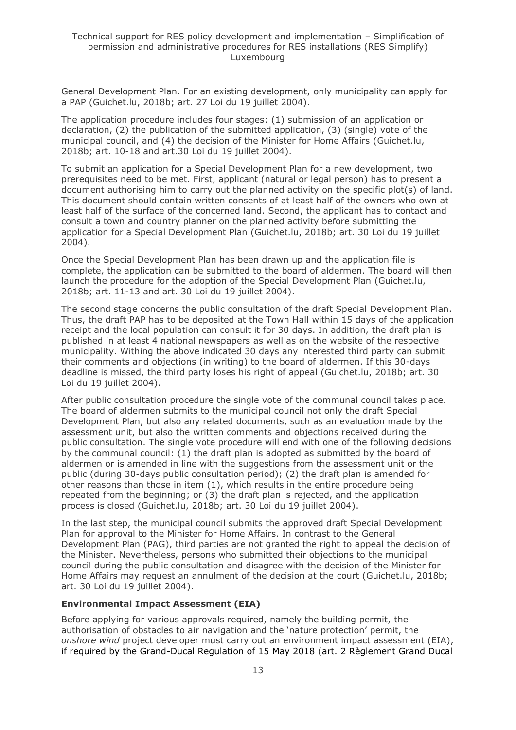General Development Plan. For an existing development, only municipality can apply for a PAP (Guichet.lu, 2018b; art. 27 Loi du 19 juillet 2004).

The application procedure includes four stages: (1) submission of an application or declaration, (2) the publication of the submitted application, (3) (single) vote of the municipal council, and (4) the decision of the Minister for Home Affairs (Guichet.lu, 2018b; art. 10-18 and art.30 Loi du 19 juillet 2004).

To submit an application for a Special Development Plan for a new development, two prerequisites need to be met. First, applicant (natural or legal person) has to present a document authorising him to carry out the planned activity on the specific plot(s) of land. This document should contain written consents of at least half of the owners who own at least half of the surface of the concerned land. Second, the applicant has to contact and consult a town and country planner on the planned activity before submitting the application for a Special Development Plan (Guichet.lu, 2018b; art. 30 Loi du 19 juillet 2004).

Once the Special Development Plan has been drawn up and the application file is complete, the application can be submitted to the board of aldermen. The board will then launch the procedure for the adoption of the Special Development Plan (Guichet.lu, 2018b; art. 11-13 and art. 30 Loi du 19 juillet 2004).

The second stage concerns the public consultation of the draft Special Development Plan. Thus, the draft PAP has to be deposited at the Town Hall within 15 days of the application receipt and the local population can consult it for 30 days. In addition, the draft plan is published in at least 4 national newspapers as well as on the website of the respective municipality. Withing the above indicated 30 days any interested third party can submit their comments and objections (in writing) to the board of aldermen. If this 30-days deadline is missed, the third party loses his right of appeal (Guichet.lu, 2018b; art. 30 Loi du 19 juillet 2004).

After public consultation procedure the single vote of the communal council takes place. The board of aldermen submits to the municipal council not only the draft Special Development Plan, but also any related documents, such as an evaluation made by the assessment unit, but also the written comments and objections received during the public consultation. The single vote procedure will end with one of the following decisions by the communal council: (1) the draft plan is adopted as submitted by the board of aldermen or is amended in line with the suggestions from the assessment unit or the public (during 30-days public consultation period); (2) the draft plan is amended for other reasons than those in item (1), which results in the entire procedure being repeated from the beginning; or (3) the draft plan is rejected, and the application process is closed (Guichet.lu, 2018b; art. 30 Loi du 19 juillet 2004).

In the last step, the municipal council submits the approved draft Special Development Plan for approval to the Minister for Home Affairs. In contrast to the General Development Plan (PAG), third parties are not granted the right to appeal the decision of the Minister. Nevertheless, persons who submitted their objections to the municipal council during the public consultation and disagree with the decision of the Minister for Home Affairs may request an annulment of the decision at the court (Guichet.lu, 2018b; art. 30 Loi du 19 juillet 2004).

#### **Environmental Impact Assessment (EIA)**

Before applying for various approvals required, namely the building permit, the authorisation of obstacles to air navigation and the 'nature protection' permit, the *onshore wind* project developer must carry out an environment impact assessment (EIA), if required by the Grand-Ducal Regulation of 15 May 2018 (art. 2 Règlement Grand Ducal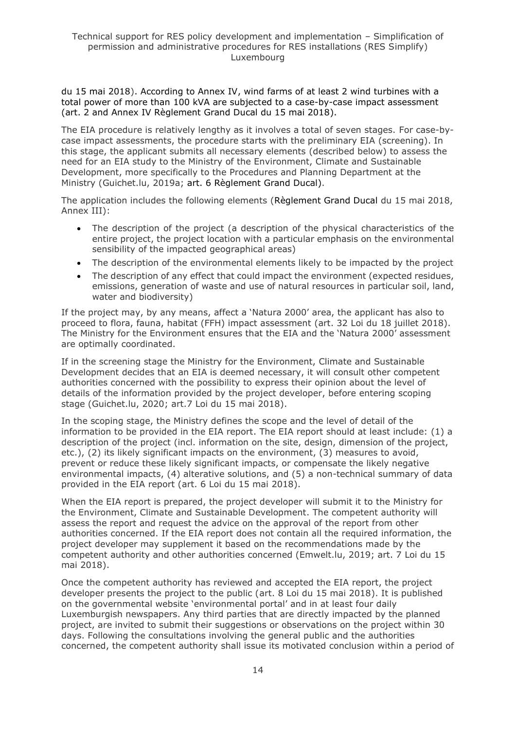du 15 mai 2018). According to Annex IV, wind farms of at least 2 wind turbines with a total power of more than 100 kVA are subjected to a case-by-case impact assessment (art. 2 and Annex IV Règlement Grand Ducal du 15 mai 2018).

The EIA procedure is relatively lengthy as it involves a total of seven stages. For case-bycase impact assessments, the procedure starts with the preliminary EIA (screening). In this stage, the applicant submits all necessary elements (described below) to assess the need for an EIA study to the Ministry of the Environment, Climate and Sustainable Development, more specifically to the Procedures and Planning Department at the Ministry (Guichet.lu, 2019a; art. 6 Règlement Grand Ducal).

The application includes the following elements (Règlement Grand Ducal du 15 mai 2018, Annex III):

- The description of the project (a description of the physical characteristics of the entire project, the project location with a particular emphasis on the environmental sensibility of the impacted geographical areas)
- The description of the environmental elements likely to be impacted by the project
- The description of any effect that could impact the environment (expected residues, emissions, generation of waste and use of natural resources in particular soil, land, water and biodiversity)

If the project may, by any means, affect a 'Natura 2000' area, the applicant has also to proceed to flora, fauna, habitat (FFH) impact assessment (art. 32 Loi du 18 juillet 2018). The Ministry for the Environment ensures that the EIA and the 'Natura 2000' assessment are optimally coordinated.

If in the screening stage the Ministry for the Environment, Climate and Sustainable Development decides that an EIA is deemed necessary, it will consult other competent authorities concerned with the possibility to express their opinion about the level of details of the information provided by the project developer, before entering scoping stage (Guichet.lu, 2020; art.7 Loi du 15 mai 2018).

In the scoping stage, the Ministry defines the scope and the level of detail of the information to be provided in the EIA report. The EIA report should at least include: (1) a description of the project (incl. information on the site, design, dimension of the project, etc.), (2) its likely significant impacts on the environment, (3) measures to avoid, prevent or reduce these likely significant impacts, or compensate the likely negative environmental impacts, (4) alterative solutions, and (5) a non-technical summary of data provided in the EIA report (art. 6 Loi du 15 mai 2018).

When the EIA report is prepared, the project developer will submit it to the Ministry for the Environment, Climate and Sustainable Development. The competent authority will assess the report and request the advice on the approval of the report from other authorities concerned. If the EIA report does not contain all the required information, the project developer may supplement it based on the recommendations made by the competent authority and other authorities concerned (Emwelt.lu, 2019; art. 7 Loi du 15 mai 2018).

Once the competent authority has reviewed and accepted the EIA report, the project developer presents the project to the public (art. 8 Loi du 15 mai 2018). It is published on the governmental website 'environmental portal' and in at least four daily Luxemburgish newspapers. Any third parties that are directly impacted by the planned project, are invited to submit their suggestions or observations on the project within 30 days. Following the consultations involving the general public and the authorities concerned, the competent authority shall issue its motivated conclusion within a period of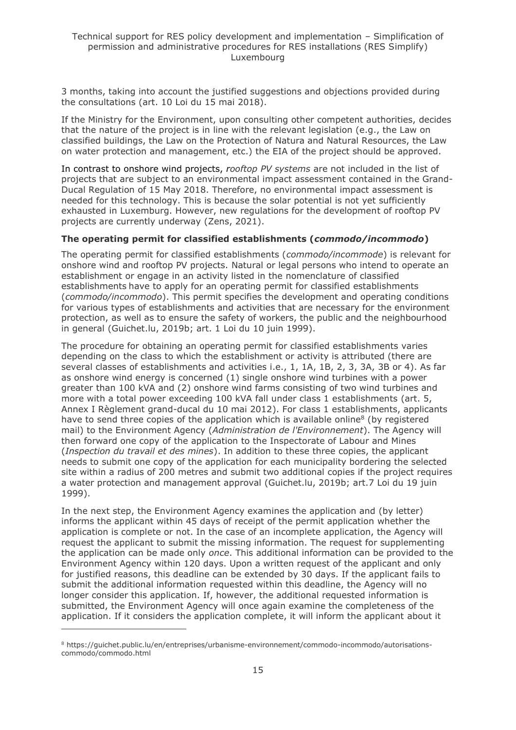3 months, taking into account the justified suggestions and objections provided during the consultations (art. 10 Loi du 15 mai 2018).

If the Ministry for the Environment, upon consulting other competent authorities, decides that the nature of the project is in line with the relevant legislation (e.g., the Law on classified buildings, the Law on the Protection of Natura and Natural Resources, the Law on water protection and management, etc.) the EIA of the project should be approved.

In contrast to onshore wind projects, *rooftop PV systems* are not included in the list of projects that are subject to an environmental impact assessment contained in the Grand-Ducal Regulation of 15 May 2018. Therefore, no environmental impact assessment is needed for this technology. This is because the solar potential is not yet sufficiently exhausted in Luxemburg. However, new regulations for the development of rooftop PV projects are currently underway (Zens, 2021).

#### **The operating permit for classified establishments (***commodo/incommodo***)**

The operating permit for classified establishments (*commodo/incommode*) is relevant for onshore wind and rooftop PV projects. Natural or legal persons who intend to operate an establishment or engage in an activity listed in the [nomenclature of classified](http://data.legilux.public.lu/file/eli-etat-leg-memorial-2012-105-fr-pdf.pdf)  [establishments](http://data.legilux.public.lu/file/eli-etat-leg-memorial-2012-105-fr-pdf.pdf) have to apply for an operating permit for classified establishments (*commodo/incommodo*). This permit specifies the development and operating conditions for various types of establishments and activities that are necessary for the environment protection, as well as to ensure the safety of workers, the public and the neighbourhood in general (Guichet.lu, 2019b; art. 1 Loi du 10 juin 1999).

The procedure for obtaining an operating permit for classified establishments varies depending on the class to which the establishment or activity is attributed (there are several classes of establishments and activities i.e., 1, 1A, 1B, 2, 3, 3A, 3B or 4). As far as onshore wind energy is concerned (1) single onshore wind turbines with a power greater than 100 kVA and (2) onshore wind farms consisting of two wind turbines and more with a total power exceeding 100 kVA fall under class 1 establishments (art. 5, Annex I Règlement grand-ducal du 10 mai 2012). For class 1 establishments, applicants have to send three copies of the application which is available online<sup>8</sup> (by registered mail) to the Environment Agency (*Administration de l'Environnement*). The Agency will then forward one copy of the application to the Inspectorate of Labour and Mines (*Inspection du travail et des mines*). In addition to these three copies, the applicant needs to submit one copy of the application for each municipality bordering the selected site within a radius of 200 metres and submit two additional copies if the project requires a water protection and management approval (Guichet.lu, 2019b; art.7 Loi du 19 juin 1999).

In the next step, the Environment Agency examines the application and (by letter) informs the applicant within 45 days of receipt of the permit application whether the application is complete or not. In the case of an incomplete application, the Agency will request the applicant to submit the missing information. The request for supplementing the application can be made only *once*. This additional information can be provided to the Environment Agency within 120 days. Upon a written request of the applicant and only for justified reasons, this deadline can be extended by 30 days. If the applicant fails to submit the additional information requested within this deadline, the Agency will no longer consider this application. If, however, the additional requested information is submitted, the Environment Agency will once again examine the completeness of the application. If it considers the application complete, it will inform the applicant about it

<sup>8</sup> https://guichet.public.lu/en/entreprises/urbanisme-environnement/commodo-incommodo/autorisationscommodo/commodo.html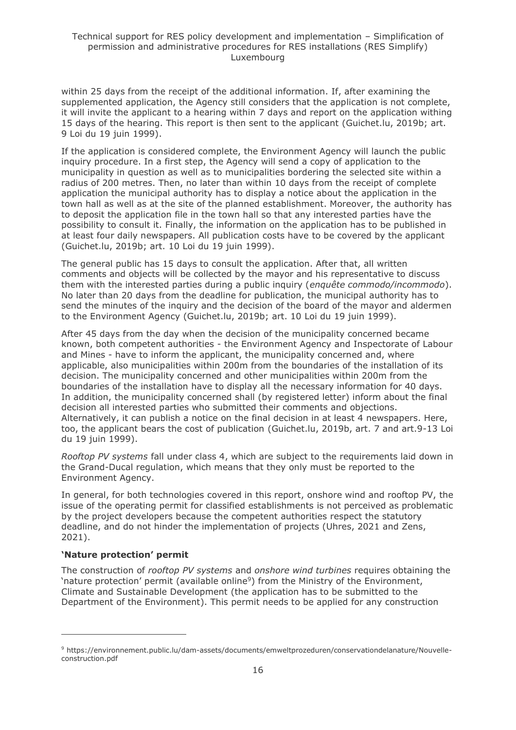within 25 days from the receipt of the additional information. If, after examining the supplemented application, the Agency still considers that the application is not complete, it will invite the applicant to a hearing within 7 days and report on the application withing 15 days of the hearing. This report is then sent to the applicant (Guichet.lu, 2019b; art. 9 Loi du 19 juin 1999).

If the application is considered complete, the Environment Agency will launch the public inquiry procedure. In a first step, the Agency will send a copy of application to the municipality in question as well as to municipalities bordering the selected site within a radius of 200 metres. Then, no later than within 10 days from the receipt of complete application the municipal authority has to display a notice about the application in the town hall as well as at the site of the planned establishment. Moreover, the authority has to deposit the application file in the town hall so that any interested parties have the possibility to consult it. Finally, the information on the application has to be published in at least four daily newspapers. All publication costs have to be covered by the applicant (Guichet.lu, 2019b; art. 10 Loi du 19 juin 1999).

The general public has 15 days to consult the application. After that, all written comments and objects will be collected by the mayor and his representative to discuss them with the interested parties during a public inquiry (*enquête commodo/incommodo*). No later than 20 days from the deadline for publication, the municipal authority has to send the minutes of the inquiry and the decision of the board of the mayor and aldermen to the Environment Agency (Guichet.lu, 2019b; art. 10 Loi du 19 juin 1999).

After 45 days from the day when the decision of the municipality concerned became known, both competent authorities - the Environment Agency and Inspectorate of Labour and Mines - have to inform the applicant, the municipality concerned and, where applicable, also municipalities within 200m from the boundaries of the installation of its decision. The municipality concerned and other municipalities within 200m from the boundaries of the installation have to display all the necessary information for 40 days. In addition, the municipality concerned shall (by registered letter) inform about the final decision all interested parties who submitted their comments and objections. Alternatively, it can publish a notice on the final decision in at least 4 newspapers. Here, too, the applicant bears the cost of publication (Guichet.lu, 2019b, art. 7 and art.9-13 Loi du 19 juin 1999).

*Rooftop PV systems* fall under class 4, which are subject to the requirements laid down in the Grand-Ducal regulation, which means that they only must be reported to the Environment Agency.

In general, for both technologies covered in this report, onshore wind and rooftop PV, the issue of the operating permit for classified establishments is not perceived as problematic by the project developers because the competent authorities respect the statutory deadline, and do not hinder the implementation of projects (Uhres, 2021 and Zens, 2021).

## **'Nature protection' permit**

The construction of *rooftop PV systems* and *onshore wind turbines* requires obtaining the 'nature protection' permit (available online<sup>9</sup>) from the Ministry of the Environment, Climate and Sustainable Development (the application has to be submitted to the Department of the Environment). This permit needs to be applied for any construction

<sup>9</sup> https://environnement.public.lu/dam-assets/documents/emweltprozeduren/conservationdelanature/Nouvelleconstruction.pdf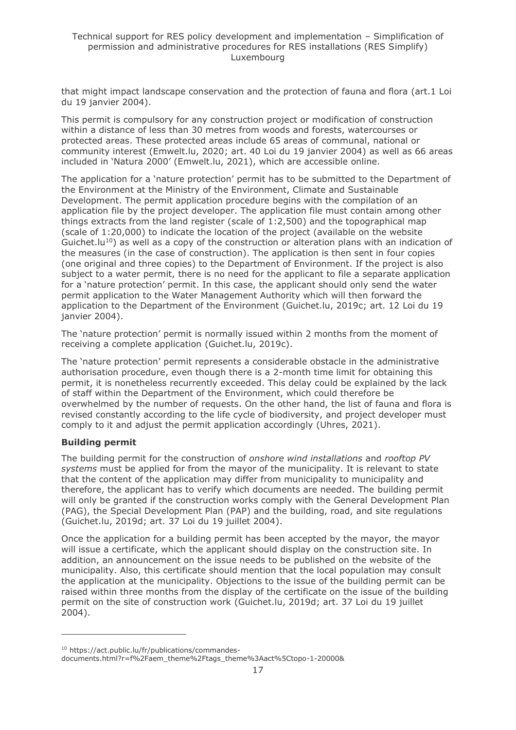that might impact landscape conservation and the protection of fauna and flora (art.1 Loi du 19 janvier 2004).

This permit is compulsory for any construction project or modification of construction within a distance of less than 30 metres from woods and forests, watercourses or protected areas. These protected areas include 65 areas of communal, national or community interest (Emwelt.lu, 2020; art. 40 Loi du 19 janvier 2004) as well as 66 areas included in 'Natura 2000' (Emwelt.lu, 2021), which are accessible online.

The application for a 'nature protection' permit has to be submitted to the Department of the Environment at the Ministry of the Environment, Climate and Sustainable Development. The permit application procedure begins with the compilation of an application file by the project developer. The application file must contain among other things extracts from the land register (scale of 1:2,500) and the topographical map (scale of 1:20,000) to indicate the location of the project (available on the website Guichet.  $|u^{10}\rangle$  as well as a copy of the construction or alteration plans with an indication of the measures (in the case of construction). The application is then sent in four copies (one original and three copies) to the Department of Environment. If the project is also subiect to a water permit, there is no need for the applicant to file a separate application for a 'nature protection' permit. In this case, the applicant should only send the water permit application to the Water Management Authority which will then forward the application to the Department of the Environment (Guichet.lu, 2019c; art. 12 Loi du 19 janvier 2004).

The 'nature protection' permit is normally issued within 2 months from the moment of receiving a complete application (Guichet.lu, 2019c).

The 'nature protection' permit represents a considerable obstacle in the administrative authorisation procedure, even though there is a 2-month time limit for obtaining this permit, it is nonetheless recurrently exceeded. This delay could be explained by the lack of staff within the Department of the Environment, which could therefore be overwhelmed by the number of requests. On the other hand, the list of fauna and flora is revised constantly according to the life cycle of biodiversity, and project developer must comply to it and adjust the permit application accordingly (Uhres, 2021).

#### **Building permit**

The building permit for the construction of *onshore wind installations* and *rooftop PV systems* must be applied for from the mayor of the municipality. It is relevant to state that the content of the application may differ from municipality to municipality and therefore, the applicant has to verify which documents are needed. The building permit will only be granted if the construction works comply with the General Development Plan (PAG), the Special Development Plan (PAP) and the building, road, and site regulations (Guichet.lu, 2019d; art. 37 Loi du 19 juillet 2004).

Once the application for a building permit has been accepted by the mayor, the mayor will issue a certificate, which the applicant should display on the construction site. In addition, an announcement on the issue needs to be published on the website of the municipality. Also, this certificate should mention that the local population may consult the application at the municipality. Objections to the issue of the building permit can be raised within three months from the display of the certificate on the issue of the building permit on the site of construction work (Guichet.lu, 2019d; art. 37 Loi du 19 juillet 2004).

<sup>10</sup> https://act.public.lu/fr/publications/commandes-

documents.html?r=f%2Faem\_theme%2Ftags\_theme%3Aact%5Ctopo-1-20000&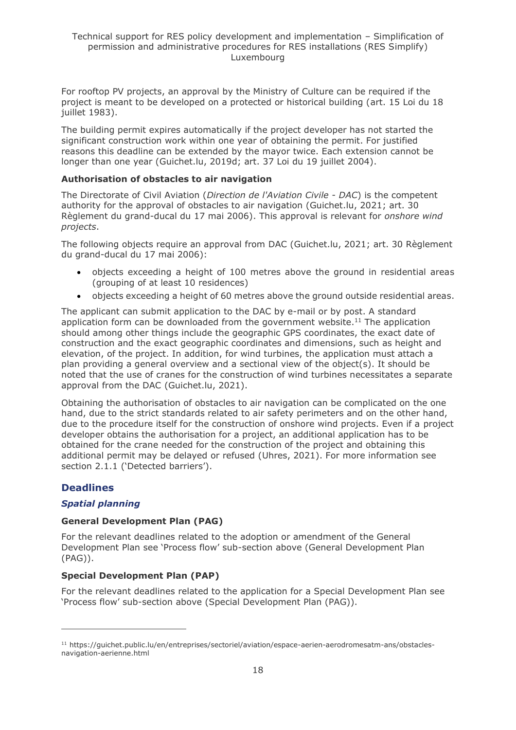For rooftop PV projects, an approval by the Ministry of Culture can be required if the project is meant to be developed on a protected or historical building (art. 15 Loi du 18 juillet 1983).

The building permit expires automatically if the project developer has not started the significant construction work within one year of obtaining the permit. For justified reasons this deadline can be extended by the mayor twice. Each extension cannot be longer than one year (Guichet.lu, 2019d; art. 37 Loi du 19 juillet 2004).

#### **Authorisation of obstacles to air navigation**

The Directorate of Civil Aviation (*Direction de l'Aviation Civile - DAC*) is the competent authority for the approval of obstacles to air navigation (Guichet.lu, 2021; art. 30 Règlement du grand-ducal du 17 mai 2006). This approval is relevant for *onshore wind projects*.

The following objects require an approval from DAC (Guichet.lu, 2021; art. 30 Règlement du grand-ducal du 17 mai 2006):

- objects exceeding a height of 100 metres above the ground in residential areas (grouping of at least 10 residences)
- objects exceeding a height of 60 metres above the ground outside residential areas.

The applicant can submit application to the DAC by e-mail or by post. A standard application form can be downloaded from the government website.<sup>11</sup> The application should among other things include the geographic GPS coordinates, the exact date of construction and the exact geographic coordinates and dimensions, such as height and elevation, of the project. In addition, for wind turbines, the application must attach a plan providing a general overview and a sectional view of the object(s). It should be noted that the use of cranes for the construction of wind turbines necessitates a separate approval from the DAC (Guichet.lu, 2021).

Obtaining the authorisation of obstacles to air navigation can be complicated on the one hand, due to the strict standards related to air safety perimeters and on the other hand, due to the procedure itself for the construction of onshore wind projects. Even if a project developer obtains the authorisation for a project, an additional application has to be obtained for the crane needed for the construction of the project and obtaining this additional permit may be delayed or refused (Uhres, 2021). For more information see section 2.1.1 ('Detected barriers').

## **Deadlines**

## *Spatial planning*

## **General Development Plan (PAG)**

For the relevant deadlines related to the adoption or amendment of the General Development Plan see 'Process flow' sub-section above (General Development Plan (PAG)).

## **Special Development Plan (PAP)**

For the relevant deadlines related to the application for a Special Development Plan see 'Process flow' sub-section above (Special Development Plan (PAG)).

<sup>11</sup> https://guichet.public.lu/en/entreprises/sectoriel/aviation/espace-aerien-aerodromesatm-ans/obstaclesnavigation-aerienne.html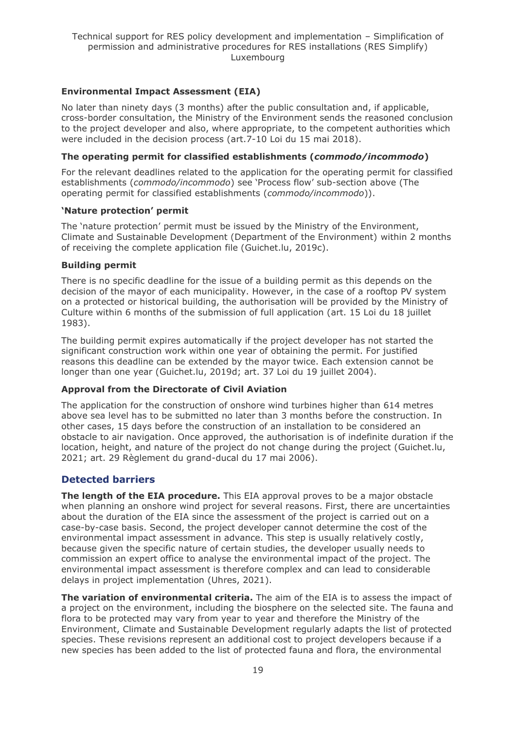## **Environmental Impact Assessment (EIA)**

No later than ninety days (3 months) after the public consultation and, if applicable, cross-border consultation, the Ministry of the Environment sends the reasoned conclusion to the project developer and also, where appropriate, to the competent authorities which were included in the decision process (art.7-10 Loi du 15 mai 2018).

#### **The operating permit for classified establishments (***commodo/incommodo***)**

For the relevant deadlines related to the application for the operating permit for classified establishments (*commodo/incommodo*) see 'Process flow' sub-section above (The operating permit for classified establishments (*commodo/incommodo*)).

#### **'Nature protection' permit**

The 'nature protection' permit must be issued by the Ministry of the Environment, Climate and Sustainable Development (Department of the Environment) within 2 months of receiving the complete application file (Guichet.lu, 2019c).

#### **Building permit**

There is no specific deadline for the issue of a building permit as this depends on the decision of the mayor of each municipality. However, in the case of a rooftop PV system on a protected or historical building, the authorisation will be provided by the Ministry of Culture within 6 months of the submission of full application (art. 15 Loi du 18 juillet 1983).

The building permit expires automatically if the project developer has not started the significant construction work within one year of obtaining the permit. For justified reasons this deadline can be extended by the mayor twice. Each extension cannot be longer than one year (Guichet.lu, 2019d; art. 37 Loi du 19 juillet 2004).

## **Approval from the Directorate of Civil Aviation**

The application for the construction of onshore wind turbines higher than 614 metres above sea level has to be submitted no later than 3 months before the construction. In other cases, 15 days before the construction of an installation to be considered an obstacle to air navigation. Once approved, the authorisation is of indefinite duration if the location, height, and nature of the project do not change during the project (Guichet.lu, 2021; art. 29 Règlement du grand-ducal du 17 mai 2006).

## **Detected barriers**

**The length of the EIA procedure.** This EIA approval proves to be a major obstacle when planning an onshore wind project for several reasons. First, there are uncertainties about the duration of the EIA since the assessment of the project is carried out on a case-by-case basis. Second, the project developer cannot determine the cost of the environmental impact assessment in advance. This step is usually relatively costly, because given the specific nature of certain studies, the developer usually needs to commission an expert office to analyse the environmental impact of the project. The environmental impact assessment is therefore complex and can lead to considerable delays in project implementation (Uhres, 2021).

**The variation of environmental criteria.** The aim of the EIA is to assess the impact of a project on the environment, including the biosphere on the selected site. The fauna and flora to be protected may vary from year to year and therefore the Ministry of the Environment, Climate and Sustainable Development regularly adapts the list of protected species. These revisions represent an additional cost to project developers because if a new species has been added to the list of protected fauna and flora, the environmental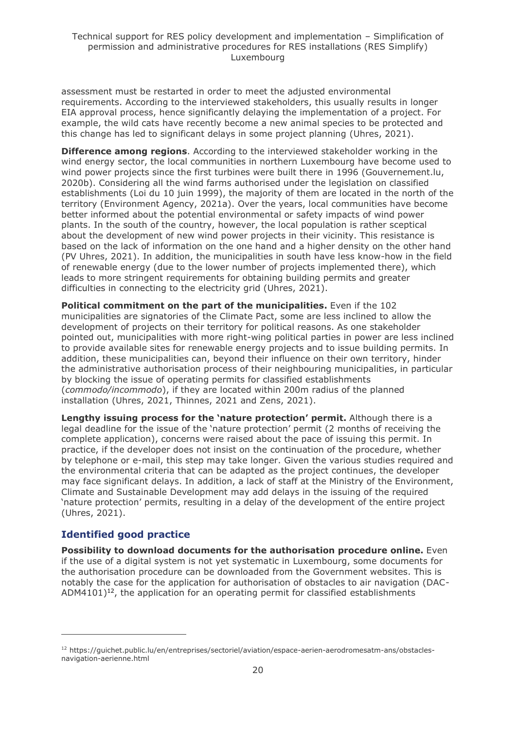assessment must be restarted in order to meet the adjusted environmental requirements. According to the interviewed stakeholders, this usually results in longer EIA approval process, hence significantly delaying the implementation of a project. For example, the wild cats have recently become a new animal species to be protected and this change has led to significant delays in some project planning (Uhres, 2021).

**Difference among regions**. According to the interviewed stakeholder working in the wind energy sector, the local communities in northern Luxembourg have become used to wind power projects since the first turbines were built there in 1996 (Gouvernement.lu, 2020b). Considering all the wind farms authorised under the legislation on classified establishments (Loi du 10 juin 1999), the majority of them are located in the north of the territory (Environment Agency, 2021a). Over the years, local communities have become better informed about the potential environmental or safety impacts of wind power plants. In the south of the country, however, the local population is rather sceptical about the development of new wind power projects in their vicinity. This resistance is based on the lack of information on the one hand and a higher density on the other hand (PV Uhres, 2021). In addition, the municipalities in south have less know-how in the field of renewable energy (due to the lower number of projects implemented there), which leads to more stringent requirements for obtaining building permits and greater difficulties in connecting to the electricity grid (Uhres, 2021).

**Political commitment on the part of the municipalities.** Even if the 102 municipalities are signatories of the Climate Pact, some are less inclined to allow the development of projects on their territory for political reasons. As one stakeholder pointed out, municipalities with more right-wing political parties in power are less inclined to provide available sites for renewable energy projects and to issue building permits. In addition, these municipalities can, beyond their influence on their own territory, hinder the administrative authorisation process of their neighbouring municipalities, in particular by blocking the issue of operating permits for classified establishments (*commodo/incommodo*), if they are located within 200m radius of the planned installation (Uhres, 2021, Thinnes, 2021 and Zens, 2021).

**Lengthy issuing process for the 'nature protection' permit.** Although there is a legal deadline for the issue of the 'nature protection' permit (2 months of receiving the complete application), concerns were raised about the pace of issuing this permit. In practice, if the developer does not insist on the continuation of the procedure, whether by telephone or e-mail, this step may take longer. Given the various studies required and the environmental criteria that can be adapted as the project continues, the developer may face significant delays. In addition, a lack of staff at the Ministry of the Environment, Climate and Sustainable Development may add delays in the issuing of the required 'nature protection' permits, resulting in a delay of the development of the entire project (Uhres, 2021).

## **Identified good practice**

**Possibility to download documents for the authorisation procedure online.** Even if the use of a digital system is not yet systematic in Luxembourg, some documents for the authorisation procedure can be downloaded from the Government websites. This is notably the case for the application for authorisation of obstacles to air navigation (DAC-ADM4101)<sup>12</sup>, the application for an operating permit for classified establishments

<sup>12</sup> https://guichet.public.lu/en/entreprises/sectoriel/aviation/espace-aerien-aerodromesatm-ans/obstaclesnavigation-aerienne.html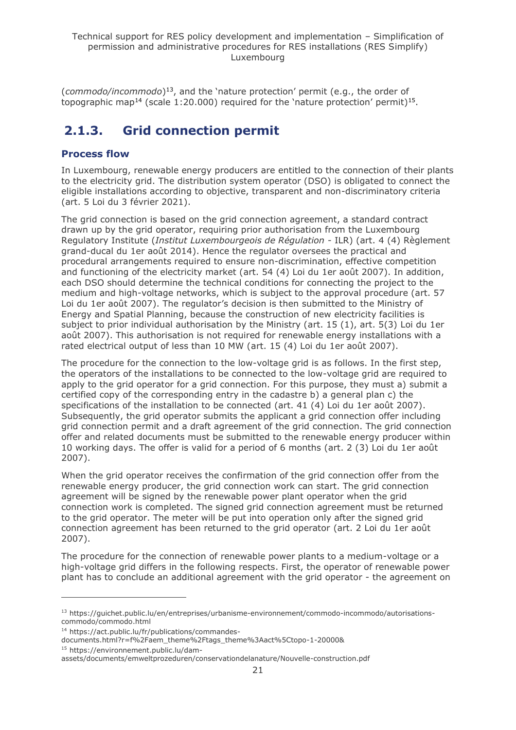(*commodo/incommodo*) 13 , and the 'nature protection' permit (e.g., the order of topographic map<sup>14</sup> (scale 1:20.000) required for the 'nature protection' permit)<sup>15</sup>.

## <span id="page-20-0"></span>**2.1.3. Grid connection permit**

## **Process flow**

In Luxembourg, renewable energy producers are entitled to the connection of their plants to the electricity grid. The distribution system operator (DSO) is obligated to connect the eligible installations according to objective, transparent and non-discriminatory criteria (art. 5 Loi du 3 février 2021).

The grid connection is based on the grid connection agreement, a standard contract drawn up by the grid operator, requiring prior authorisation from the Luxembourg Regulatory Institute (*Institut Luxembourgeois de Régulation* - ILR) (art. 4 (4) Règlement grand-ducal du 1er août 2014). Hence the regulator oversees the practical and procedural arrangements required to ensure non-discrimination, effective competition and functioning of the electricity market (art. 54 (4) Loi du 1er août 2007). In addition, each DSO should determine the technical conditions for connecting the project to the medium and high-voltage networks, which is subject to the approval procedure (art. 57 Loi du 1er août 2007). The regulator's decision is then submitted to the Ministry of Energy and Spatial Planning, because the construction of new electricity facilities is subject to prior individual authorisation by the Ministry (art. 15 (1), art. 5(3) Loi du 1er août 2007). This authorisation is not required for renewable energy installations with a rated electrical output of less than 10 MW (art. 15 (4) Loi du 1er août 2007).

The procedure for the connection to the low-voltage grid is as follows. In the first step, the operators of the installations to be connected to the low-voltage grid are required to apply to the grid operator for a grid connection. For this purpose, they must a) submit a certified copy of the corresponding entry in the cadastre b) a general plan c) the specifications of the installation to be connected (art. 41 (4) Loi du 1er août 2007). Subsequently, the grid operator submits the applicant a grid connection offer including grid connection permit and a draft agreement of the grid connection. The grid connection offer and related documents must be submitted to the renewable energy producer within 10 working days. The offer is valid for a period of 6 months (art. 2 (3) Loi du 1er août 2007).

When the grid operator receives the confirmation of the grid connection offer from the renewable energy producer, the grid connection work can start. The grid connection agreement will be signed by the renewable power plant operator when the grid connection work is completed. The signed grid connection agreement must be returned to the grid operator. The meter will be put into operation only after the signed grid connection agreement has been returned to the grid operator (art. 2 Loi du 1er août 2007).

The procedure for the connection of renewable power plants to a medium-voltage or a high-voltage grid differs in the following respects. First, the operator of renewable power plant has to conclude an additional agreement with the grid operator - the agreement on

<sup>13</sup> https://guichet.public.lu/en/entreprises/urbanisme-environnement/commodo-incommodo/autorisationscommodo/commodo.html

<sup>14</sup> https://act.public.lu/fr/publications/commandes-

documents.html?r=f%2Faem\_theme%2Ftags\_theme%3Aact%5Ctopo-1-20000& <sup>15</sup> https://environnement.public.lu/dam-

assets/documents/emweltprozeduren/conservationdelanature/Nouvelle-construction.pdf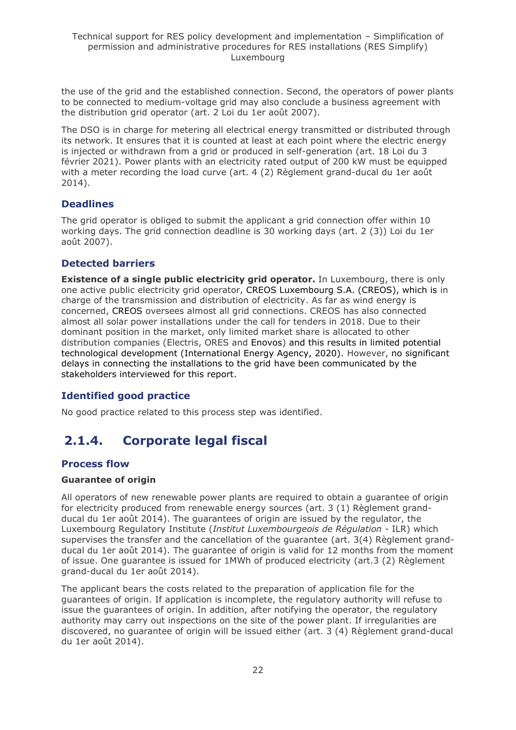the use of the grid and the established connection. Second, the operators of power plants to be connected to medium-voltage grid may also conclude a business agreement with the distribution grid operator (art. 2 Loi du 1er août 2007).

The DSO is in charge for metering all electrical energy transmitted or distributed through its network. It ensures that it is counted at least at each point where the electric energy is injected or withdrawn from a grid or produced in self-generation (art. 18 Loi du 3 février 2021). Power plants with an electricity rated output of 200 kW must be equipped with a meter recording the load curve (art. 4 (2) Règlement grand-ducal du 1er août 2014).

## **Deadlines**

The grid operator is obliged to submit the applicant a grid connection offer within 10 working days. The grid connection deadline is 30 working days (art. 2 (3)) Loi du 1er août 2007).

## **Detected barriers**

**Existence of a single public electricity grid operator.** In Luxembourg, there is only one active public electricity grid operator, CREOS Luxembourg S.A. (CREOS), which is in charge of the transmission and distribution of electricity. As far as wind energy is concerned, CREOS oversees almost all grid connections. CREOS has also connected almost all solar power installations under the call for tenders in 2018. Due to their dominant position in the market, only limited market share is allocated to other distribution companies (Electris, ORES and Enovos) and this results in limited potential technological development (International Energy Agency, 2020). However, no significant delays in connecting the installations to the grid have been communicated by the stakeholders interviewed for this report.

## **Identified good practice**

No good practice related to this process step was identified.

## <span id="page-21-0"></span>**2.1.4. Corporate legal fiscal**

## **Process flow**

## **Guarantee of origin**

All operators of new renewable power plants are required to obtain a guarantee of origin for electricity produced from renewable energy sources (art. 3 (1) Règlement grandducal du 1er août 2014). The guarantees of origin are issued by the regulator, the Luxembourg Regulatory Institute (*Institut Luxembourgeois de Régulation* - ILR) which supervises the transfer and the cancellation of the guarantee (art. 3(4) Règlement grandducal du 1er août 2014). The guarantee of origin is valid for 12 months from the moment of issue. One guarantee is issued for 1MWh of produced electricity (art.3 (2) Règlement grand-ducal du 1er août 2014).

The applicant bears the costs related to the preparation of application file for the guarantees of origin. If application is incomplete, the regulatory authority will refuse to issue the guarantees of origin. In addition, after notifying the operator, the regulatory authority may carry out inspections on the site of the power plant. If irregularities are discovered, no guarantee of origin will be issued either (art. 3 (4) Règlement grand-ducal du 1er août 2014).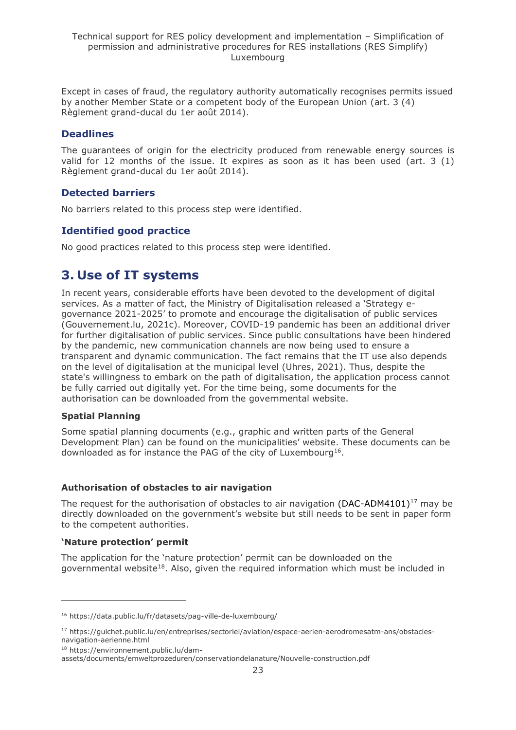Except in cases of fraud, the regulatory authority automatically recognises permits issued by another Member State or a competent body of the European Union (art. 3 (4) Règlement grand-ducal du 1er août 2014).

## **Deadlines**

The guarantees of origin for the electricity produced from renewable energy sources is valid for 12 months of the issue. It expires as soon as it has been used (art. 3 (1) Règlement grand-ducal du 1er août 2014).

## **Detected barriers**

No barriers related to this process step were identified.

## **Identified good practice**

No good practices related to this process step were identified.

## <span id="page-22-0"></span>**3. Use of IT systems**

In recent years, considerable efforts have been devoted to the development of digital services. As a matter of fact, the Ministry of Digitalisation released a 'Strategy egovernance 2021-2025' to promote and encourage the digitalisation of public services (Gouvernement.lu, 2021c). Moreover, COVID-19 pandemic has been an additional driver for further digitalisation of public services. Since public consultations have been hindered by the pandemic, new communication channels are now being used to ensure a transparent and dynamic communication. The fact remains that the IT use also depends on the level of digitalisation at the municipal level (Uhres, 2021). Thus, despite the state's willingness to embark on the path of digitalisation, the application process cannot be fully carried out digitally yet. For the time being, some documents for the authorisation can be downloaded from the governmental website.

## **Spatial Planning**

Some spatial planning documents (e.g., graphic and written parts of the General Development Plan) can be found on the municipalities' website. These documents can be downloaded as for instance the PAG of the city of Luxembourg<sup>16</sup>.

## **Authorisation of obstacles to air navigation**

The request for the authorisation of obstacles to air navigation (DAC-ADM4101)<sup>17</sup> may be directly downloaded on the government's website but still needs to be sent in paper form to the competent authorities.

## **'Nature protection' permit**

The application for the 'nature protection' permit can be downloaded on the governmental website<sup>18</sup>. Also, given the required information which must be included in

<sup>16</sup> https://data.public.lu/fr/datasets/pag-ville-de-luxembourg/

<sup>17</sup> https://guichet.public.lu/en/entreprises/sectoriel/aviation/espace-aerien-aerodromesatm-ans/obstaclesnavigation-aerienne.html

<sup>18</sup> https://environnement.public.lu/dam-

assets/documents/emweltprozeduren/conservationdelanature/Nouvelle-construction.pdf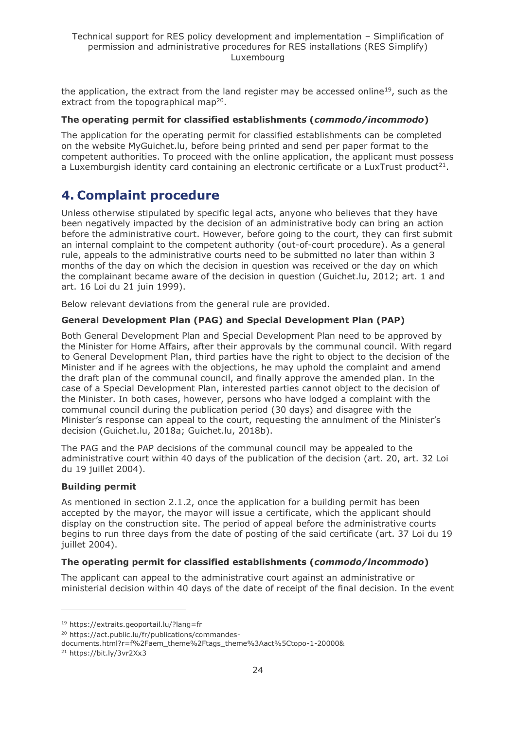the application, the extract from the land register may be accessed online<sup>19</sup>, such as the extract from the topographical map<sup>20</sup>.

## **The operating permit for classified establishments (***commodo/incommodo***)**

The application for the operating permit for classified establishments can be completed on the website MyGuichet.lu, before being printed and send per paper format to the competent authorities. To proceed with the online application, the applicant must possess a Luxemburgish identity card containing an electronic certificate or a LuxTrust product<sup>21</sup>.

## <span id="page-23-0"></span>**4. Complaint procedure**

Unless otherwise stipulated by specific legal acts, anyone who believes that they have been negatively impacted by the decision of an administrative body can bring an action before the administrative court. However, before going to the court, they can first submit an internal complaint to the competent authority (out-of-court procedure). As a general rule, appeals to the administrative courts need to be submitted no later than within 3 months of the day on which the decision in question was received or the day on which the complainant became aware of the decision in question (Guichet.lu, 2012; art. 1 and art. 16 Loi du 21 juin 1999).

Below relevant deviations from the general rule are provided.

#### **General Development Plan (PAG) and Special Development Plan (PAP)**

Both General Development Plan and Special Development Plan need to be approved by the Minister for Home Affairs, after their approvals by the communal council. With regard to General Development Plan, third parties have the right to object to the decision of the Minister and if he agrees with the objections, he may uphold the complaint and amend the draft plan of the communal council, and finally approve the amended plan. In the case of a Special Development Plan, interested parties cannot object to the decision of the Minister. In both cases, however, persons who have lodged a complaint with the communal council during the publication period (30 days) and disagree with the Minister's response can appeal to the court, requesting the annulment of the Minister's decision (Guichet.lu, 2018a; Guichet.lu, 2018b).

The PAG and the PAP decisions of the communal council may be appealed to the administrative court within 40 days of the publication of the decision (art. 20, art. 32 Loi du 19 juillet 2004).

#### **Building permit**

As mentioned in section 2.1.2, once the application for a building permit has been accepted by the mayor, the mayor will issue a certificate, which the applicant should display on the construction site. The period of appeal before the administrative courts begins to run three days from the date of posting of the said certificate (art. 37 Loi du 19 juillet 2004).

#### **The operating permit for classified establishments (***commodo/incommodo***)**

The applicant can appeal to the administrative court against an administrative or ministerial decision within 40 days of the date of receipt of the final decision. In the event

<sup>19</sup> https://extraits.geoportail.lu/?lang=fr

<sup>20</sup> https://act.public.lu/fr/publications/commandes-

documents.html?r=f%2Faem\_theme%2Ftags\_theme%3Aact%5Ctopo-1-20000&

<sup>21</sup> https://bit.ly/3vr2Xx3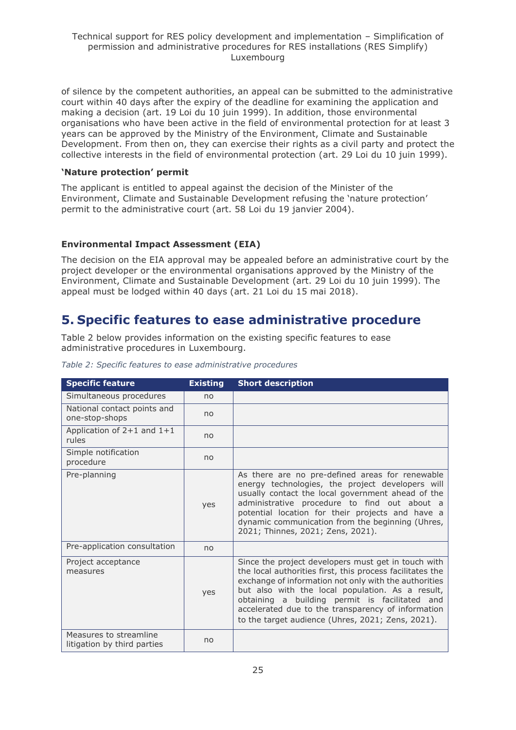of silence by the competent authorities, an appeal can be submitted to the administrative court within 40 days after the expiry of the deadline for examining the application and making a decision (art. 19 Loi du 10 juin 1999). In addition, those environmental organisations who have been active in the field of environmental protection for at least 3 years can be approved by the Ministry of the Environment, Climate and Sustainable Development. From then on, they can exercise their rights as a civil party and protect the collective interests in the field of environmental protection (art. 29 Loi du 10 juin 1999).

## **'Nature protection' permit**

The applicant is entitled to appeal against the decision of the Minister of the Environment, Climate and Sustainable Development refusing the 'nature protection' permit to the administrative court (art. 58 Loi du 19 janvier 2004).

#### **Environmental Impact Assessment (EIA)**

The decision on the EIA approval may be appealed before an administrative court by the project developer or the environmental organisations approved by the Ministry of the Environment, Climate and Sustainable Development (art. 29 Loi du 10 juin 1999). The appeal must be lodged within 40 days (art. 21 Loi du 15 mai 2018).

## <span id="page-24-0"></span>**5. Specific features to ease administrative procedure**

Table 2 below provides information on the existing specific features to ease administrative procedures in Luxembourg.

| <b>Specific feature</b>                               | <b>Existing</b> | <b>Short description</b>                                                                                                                                                                                                                                                                                                                                                                   |
|-------------------------------------------------------|-----------------|--------------------------------------------------------------------------------------------------------------------------------------------------------------------------------------------------------------------------------------------------------------------------------------------------------------------------------------------------------------------------------------------|
| Simultaneous procedures                               | no              |                                                                                                                                                                                                                                                                                                                                                                                            |
| National contact points and<br>one-stop-shops         | no              |                                                                                                                                                                                                                                                                                                                                                                                            |
| Application of $2+1$ and $1+1$<br>rules               | no              |                                                                                                                                                                                                                                                                                                                                                                                            |
| Simple notification<br>procedure                      | no              |                                                                                                                                                                                                                                                                                                                                                                                            |
| Pre-planning                                          | yes             | As there are no pre-defined areas for renewable<br>energy technologies, the project developers will<br>usually contact the local government ahead of the<br>administrative procedure to find out about a<br>potential location for their projects and have a<br>dynamic communication from the beginning (Uhres,<br>2021; Thinnes, 2021; Zens, 2021).                                      |
| Pre-application consultation                          | no              |                                                                                                                                                                                                                                                                                                                                                                                            |
| Project acceptance<br>measures                        | yes             | Since the project developers must get in touch with<br>the local authorities first, this process facilitates the<br>exchange of information not only with the authorities<br>but also with the local population. As a result,<br>obtaining a building permit is facilitated and<br>accelerated due to the transparency of information<br>to the target audience (Uhres, 2021; Zens, 2021). |
| Measures to streamline<br>litigation by third parties | no              |                                                                                                                                                                                                                                                                                                                                                                                            |

#### *Table 2: Specific features to ease administrative procedures*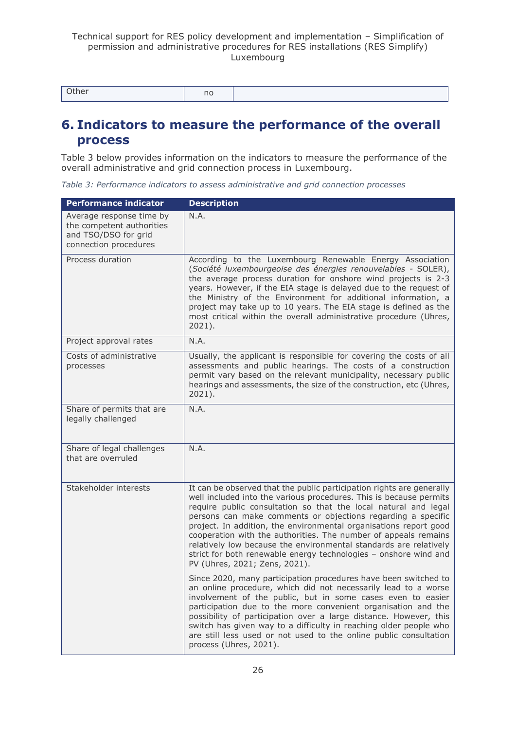| Other | no |  |
|-------|----|--|

## <span id="page-25-0"></span>**6. Indicators to measure the performance of the overall process**

Table 3 below provides information on the indicators to measure the performance of the overall administrative and grid connection process in Luxembourg.

*Table 3: Performance indicators to assess administrative and grid connection processes*

| Performance indicator                                                                                  | <b>Description</b>                                                                                                                                                                                                                                                                                                                                                                                                                                                                                                                                                                               |
|--------------------------------------------------------------------------------------------------------|--------------------------------------------------------------------------------------------------------------------------------------------------------------------------------------------------------------------------------------------------------------------------------------------------------------------------------------------------------------------------------------------------------------------------------------------------------------------------------------------------------------------------------------------------------------------------------------------------|
| Average response time by<br>the competent authorities<br>and TSO/DSO for grid<br>connection procedures | N.A.                                                                                                                                                                                                                                                                                                                                                                                                                                                                                                                                                                                             |
| Process duration                                                                                       | According to the Luxembourg Renewable Energy Association<br>(Société luxembourgeoise des énergies renouvelables - SOLER),<br>the average process duration for onshore wind projects is 2-3<br>years. However, if the EIA stage is delayed due to the request of<br>the Ministry of the Environment for additional information, a<br>project may take up to 10 years. The EIA stage is defined as the<br>most critical within the overall administrative procedure (Uhres,<br>$2021$ ).                                                                                                           |
| Project approval rates                                                                                 | N.A.                                                                                                                                                                                                                                                                                                                                                                                                                                                                                                                                                                                             |
| Costs of administrative<br>processes                                                                   | Usually, the applicant is responsible for covering the costs of all<br>assessments and public hearings. The costs of a construction<br>permit vary based on the relevant municipality, necessary public<br>hearings and assessments, the size of the construction, etc (Uhres,<br>2021).                                                                                                                                                                                                                                                                                                         |
| Share of permits that are<br>legally challenged                                                        | N.A.                                                                                                                                                                                                                                                                                                                                                                                                                                                                                                                                                                                             |
| Share of legal challenges<br>that are overruled                                                        | N.A.                                                                                                                                                                                                                                                                                                                                                                                                                                                                                                                                                                                             |
| Stakeholder interests                                                                                  | It can be observed that the public participation rights are generally<br>well included into the various procedures. This is because permits<br>require public consultation so that the local natural and legal<br>persons can make comments or objections regarding a specific<br>project. In addition, the environmental organisations report good<br>cooperation with the authorities. The number of appeals remains<br>relatively low because the environmental standards are relatively<br>strict for both renewable energy technologies - onshore wind and<br>PV (Uhres, 2021; Zens, 2021). |
|                                                                                                        | Since 2020, many participation procedures have been switched to<br>an online procedure, which did not necessarily lead to a worse<br>involvement of the public, but in some cases even to easier<br>participation due to the more convenient organisation and the<br>possibility of participation over a large distance. However, this<br>switch has given way to a difficulty in reaching older people who<br>are still less used or not used to the online public consultation<br>process (Uhres, 2021).                                                                                       |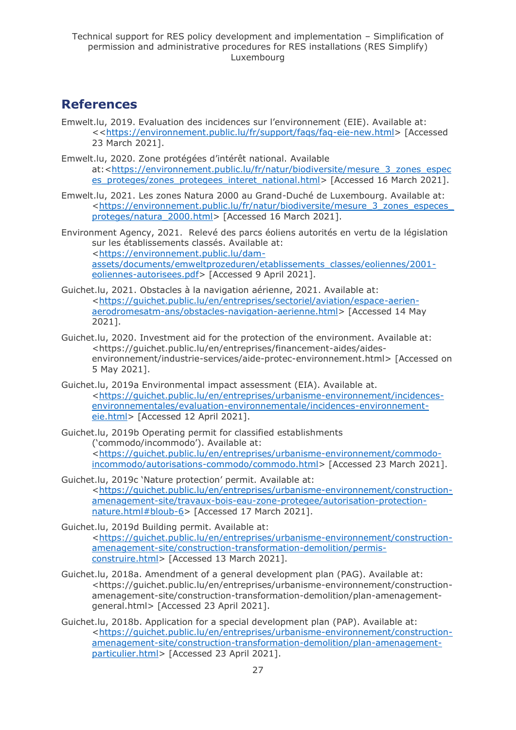## <span id="page-26-0"></span>**References**

- Emwelt.lu, 2019. Evaluation des incidences sur l'environnement (EIE). Available at: <[<https://environnement.public.lu/fr/support/faqs/faq-eie-new.html>](https://environnement.public.lu/fr/support/faqs/faq-eie-new.html) [Accessed 23 March 2021].
- Emwelt.lu, 2020. Zone protégées d'intérêt national. Available at:[<https://environnement.public.lu/fr/natur/biodiversite/mesure\\_3\\_zones\\_espec](https://environnement.public.lu/fr/natur/biodiversite/mesure_3_zones_especes_proteges/zones_protegees_interet_national.html) [es\\_proteges/zones\\_protegees\\_interet\\_national.html>](https://environnement.public.lu/fr/natur/biodiversite/mesure_3_zones_especes_proteges/zones_protegees_interet_national.html) [Accessed 16 March 2021].
- Emwelt.lu, 2021. Les zones Natura 2000 au Grand-Duché de Luxembourg. Available at: [<https://environnement.public.lu/fr/natur/biodiversite/mesure\\_3\\_zones\\_especes\\_](https://environnement.public.lu/fr/natur/biodiversite/mesure_3_zones_especes_proteges/natura_2000.html) [proteges/natura\\_2000.html>](https://environnement.public.lu/fr/natur/biodiversite/mesure_3_zones_especes_proteges/natura_2000.html) [Accessed 16 March 2021].
- Environment Agency, 2021. Relevé des parcs éoliens autorités en vertu de la législation sur les établissements classés. Available at: [<https://environnement.public.lu/dam](https://environnement.public.lu/dam-assets/documents/emweltprozeduren/etablissements_classes/eoliennes/2001-eoliennes-autorisees.pdf)[assets/documents/emweltprozeduren/etablissements\\_classes/eoliennes/2001](https://environnement.public.lu/dam-assets/documents/emweltprozeduren/etablissements_classes/eoliennes/2001-eoliennes-autorisees.pdf) [eoliennes-autorisees.pdf>](https://environnement.public.lu/dam-assets/documents/emweltprozeduren/etablissements_classes/eoliennes/2001-eoliennes-autorisees.pdf) [Accessed 9 April 2021].
- Guichet.lu, 2021. Obstacles à la navigation aérienne, 2021. Available at: [<https://guichet.public.lu/en/entreprises/sectoriel/aviation/espace-aerien](https://guichet.public.lu/en/entreprises/sectoriel/aviation/espace-aerien-aerodromesatm-ans/obstacles-navigation-aerienne.html)[aerodromesatm-ans/obstacles-navigation-aerienne.html>](https://guichet.public.lu/en/entreprises/sectoriel/aviation/espace-aerien-aerodromesatm-ans/obstacles-navigation-aerienne.html) [Accessed 14 May 2021].
- Guichet.lu, 2020. Investment aid for the protection of the environment. Available at: <https://guichet.public.lu/en/entreprises/financement-aides/aidesenvironnement/industrie-services/aide-protec-environnement.html> [Accessed on 5 May 2021].
- Guichet.lu, 2019a Environmental impact assessment (EIA). Available at. [<https://guichet.public.lu/en/entreprises/urbanisme-environnement/incidences](https://guichet.public.lu/en/entreprises/urbanisme-environnement/incidences-environnementales/evaluation-environnementale/incidences-environnement-eie.html)[environnementales/evaluation-environnementale/incidences-environnement](https://guichet.public.lu/en/entreprises/urbanisme-environnement/incidences-environnementales/evaluation-environnementale/incidences-environnement-eie.html)[eie.html>](https://guichet.public.lu/en/entreprises/urbanisme-environnement/incidences-environnementales/evaluation-environnementale/incidences-environnement-eie.html) [Accessed 12 April 2021].
- Guichet.lu, 2019b Operating permit for classified establishments ('commodo/incommodo'). Available at: [<https://guichet.public.lu/en/entreprises/urbanisme-environnement/commodo](https://guichet.public.lu/en/entreprises/urbanisme-environnement/commodo-incommodo/autorisations-commodo/commodo.html)[incommodo/autorisations-commodo/commodo.html>](https://guichet.public.lu/en/entreprises/urbanisme-environnement/commodo-incommodo/autorisations-commodo/commodo.html) [Accessed 23 March 2021].
- Guichet.lu, 2019c 'Nature protection' permit. Available at: [<https://guichet.public.lu/en/entreprises/urbanisme-environnement/construction](https://guichet.public.lu/en/entreprises/urbanisme-environnement/construction-amenagement-site/travaux-bois-eau-zone-protegee/autorisation-protection-nature.html#bloub-6)[amenagement-site/travaux-bois-eau-zone-protegee/autorisation-protection](https://guichet.public.lu/en/entreprises/urbanisme-environnement/construction-amenagement-site/travaux-bois-eau-zone-protegee/autorisation-protection-nature.html#bloub-6)[nature.html#bloub-6>](https://guichet.public.lu/en/entreprises/urbanisme-environnement/construction-amenagement-site/travaux-bois-eau-zone-protegee/autorisation-protection-nature.html#bloub-6) [Accessed 17 March 2021].
- Guichet.lu, 2019d Building permit. Available at: [<https://guichet.public.lu/en/entreprises/urbanisme-environnement/construction](https://guichet.public.lu/en/entreprises/urbanisme-environnement/construction-amenagement-site/construction-transformation-demolition/permis-construire.html)[amenagement-site/construction-transformation-demolition/permis](https://guichet.public.lu/en/entreprises/urbanisme-environnement/construction-amenagement-site/construction-transformation-demolition/permis-construire.html)[construire.html>](https://guichet.public.lu/en/entreprises/urbanisme-environnement/construction-amenagement-site/construction-transformation-demolition/permis-construire.html) [Accessed 13 March 2021].
- Guichet.lu, 2018a. Amendment of a general development plan (PAG). Available at: <https://guichet.public.lu/en/entreprises/urbanisme-environnement/constructionamenagement-site/construction-transformation-demolition/plan-amenagementgeneral.html> [Accessed 23 April 2021].
- Guichet.lu, 2018b. Application for a special development plan (PAP). Available at: [<https://guichet.public.lu/en/entreprises/urbanisme-environnement/construction](https://guichet.public.lu/en/entreprises/urbanisme-environnement/construction-amenagement-site/construction-transformation-demolition/plan-amenagement-particulier.html)[amenagement-site/construction-transformation-demolition/plan-amenagement](https://guichet.public.lu/en/entreprises/urbanisme-environnement/construction-amenagement-site/construction-transformation-demolition/plan-amenagement-particulier.html)[particulier.html>](https://guichet.public.lu/en/entreprises/urbanisme-environnement/construction-amenagement-site/construction-transformation-demolition/plan-amenagement-particulier.html) [Accessed 23 April 2021].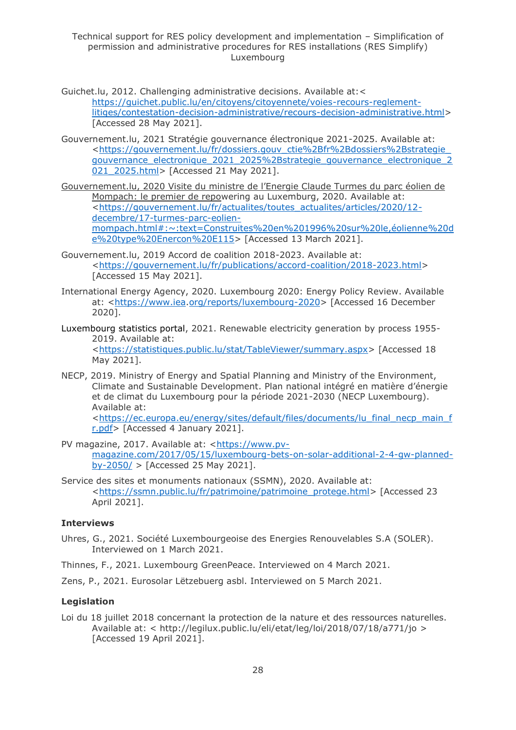Guichet.lu, 2012. Challenging administrative decisions. Available at:< [https://guichet.public.lu/en/citoyens/citoyennete/voies-recours-reglement](https://guichet.public.lu/en/citoyens/citoyennete/voies-recours-reglement-litiges/contestation-decision-administrative/recours-decision-administrative.html)[litiges/contestation-decision-administrative/recours-decision-administrative.html>](https://guichet.public.lu/en/citoyens/citoyennete/voies-recours-reglement-litiges/contestation-decision-administrative/recours-decision-administrative.html) [Accessed 28 May 202 $1$ ].

Gouvernement.lu, 2021 Stratégie gouvernance électronique 2021-2025. Available at: <https://gouvernement.lu/fr/dossiers.gouv\_ctie%2Bfr%2Bdossiers%2Bstrategie gouvernance electronique 2021 2025%2Bstrategie gouvernance electronique 2 021 2025.html> [Accessed 21 May 2021].

Gouvernement.lu, 2020 Visite du ministre de l'Energie Claude Turmes du parc éolien de Mompach: le premier de repowering au Luxemburg, 2020. Available at: [<https://gouvernement.lu/fr/actualites/toutes\\_actualites/articles/2020/12](https://gouvernement.lu/fr/actualites/toutes_actualites/articles/2020/12-decembre/17-turmes-parc-eolien-mompach.html#:~:text=Construites%20en%201996%20sur%20le,éolienne%20de%20type%20Enercon%20E115) [decembre/17-turmes-parc-eolien](https://gouvernement.lu/fr/actualites/toutes_actualites/articles/2020/12-decembre/17-turmes-parc-eolien-mompach.html#:~:text=Construites%20en%201996%20sur%20le,éolienne%20de%20type%20Enercon%20E115)[mompach.html#:~:text=Construites%20en%201996%20sur%20le,éolienne%20d](https://gouvernement.lu/fr/actualites/toutes_actualites/articles/2020/12-decembre/17-turmes-parc-eolien-mompach.html#:~:text=Construites%20en%201996%20sur%20le,éolienne%20de%20type%20Enercon%20E115) [e%20type%20Enercon%20E115>](https://gouvernement.lu/fr/actualites/toutes_actualites/articles/2020/12-decembre/17-turmes-parc-eolien-mompach.html#:~:text=Construites%20en%201996%20sur%20le,éolienne%20de%20type%20Enercon%20E115) [Accessed 13 March 2021].

- Gouvernement.lu, 2019 Accord de coalition 2018-2023. Available at: [<https://gouvernement.lu/fr/publications/accord-coalition/2018-2023.html>](https://gouvernement.lu/fr/publications/accord-coalition/2018-2023.html) [Accessed 15 May 2021].
- International Energy Agency, 2020. Luxembourg 2020: Energy Policy Review. Available at: [<https://www.iea.org/reports/luxembourg-2020>](https://www.iea.org/reports/luxembourg-2020) [Accessed 16 December 2020].
- Luxembourg statistics portal, 2021. Renewable electricity generation by process 1955- 2019. Available at: [<https://statistiques.public.lu/stat/TableViewer/summary.aspx>](https://statistiques.public.lu/stat/TableViewer/summary.aspx) [Accessed 18 May 2021].
- NECP, 2019. Ministry of Energy and Spatial Planning and Ministry of the Environment, Climate and Sustainable Development. Plan national intégré en matière d'énergie et de climat du Luxembourg pour la période 2021-2030 (NECP Luxembourg). Available at: [<https://ec.europa.eu/energy/sites/default/files/documents/lu\\_final\\_necp\\_main\\_f](https://ec.europa.eu/energy/sites/default/files/documents/lu_final_necp_main_fr.pdf)

[r.pdf>](https://ec.europa.eu/energy/sites/default/files/documents/lu_final_necp_main_fr.pdf) [Accessed 4 January 2021].

- PV magazine, 2017. Available at: [<https://www.pv](https://www.pv-magazine.com/2017/05/15/luxembourg-bets-on-solar-additional-2-4-gw-planned-by-2050/)[magazine.com/2017/05/15/luxembourg-bets-on-solar-additional-2-4-gw-planned](https://www.pv-magazine.com/2017/05/15/luxembourg-bets-on-solar-additional-2-4-gw-planned-by-2050/) $by - 2050/$  > [Accessed 25 May 2021].
- Service des sites et monuments nationaux (SSMN), 2020. Available at: [<https://ssmn.public.lu/fr/patrimoine/patrimoine\\_protege.html>](https://ssmn.public.lu/fr/patrimoine/patrimoine_protege.html) [Accessed 23 April 2021].

## **Interviews**

Uhres, G., 2021. Société Luxembourgeoise des Energies Renouvelables S.A (SOLER). Interviewed on 1 March 2021.

Thinnes, F., 2021. Luxembourg GreenPeace. Interviewed on 4 March 2021.

Zens, P., 2021. Eurosolar Lëtzebuerg asbl. Interviewed on 5 March 2021.

## **Legislation**

Loi du 18 juillet 2018 concernant la protection de la nature et des ressources naturelles. Available at: < http://legilux.public.lu/eli/etat/leg/loi/2018/07/18/a771/jo > [Accessed 19 April 2021].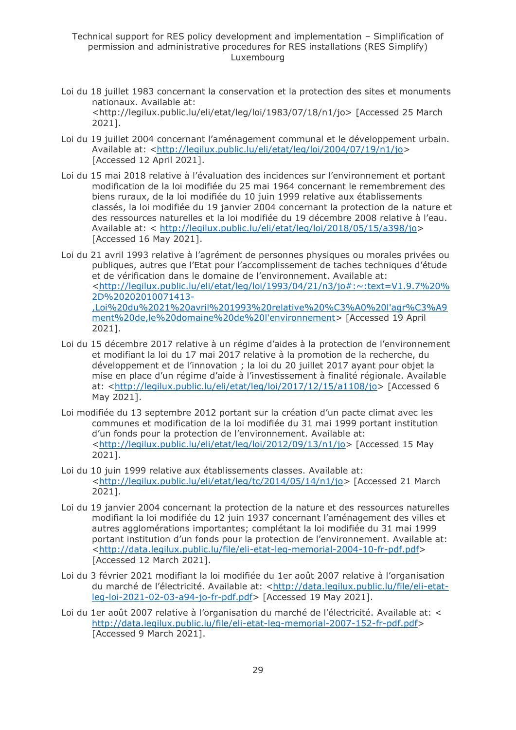- Loi du 18 juillet 1983 concernant la conservation et la protection des sites et monuments nationaux. Available at: <http://legilux.public.lu/eli/etat/leg/loi/1983/07/18/n1/jo> [Accessed 25 March 2021].
- Loi du 19 juillet 2004 concernant l'aménagement communal et le développement urbain. Available at: [<http://legilux.public.lu/eli/etat/leg/loi/2004/07/19/n1/jo>](http://legilux.public.lu/eli/etat/leg/loi/2004/07/19/n1/jo) [Accessed 12 April 2021].
- Loi du 15 mai 2018 relative à l'évaluation des incidences sur l'environnement et portant modification de la loi modifiée du 25 mai 1964 concernant le remembrement des biens ruraux, de la loi modifiée du 10 juin 1999 relative aux établissements classés, la loi modifiée du 19 janvier 2004 concernant la protection de la nature et des ressources naturelles et la loi modifiée du 19 décembre 2008 relative à l'eau. Available at: < [http://legilux.public.lu/eli/etat/leg/loi/2018/05/15/a398/jo>](http://legilux.public.lu/eli/etat/leg/loi/2018/05/15/a398/jo) [Accessed 16 May 2021].
- Loi du 21 avril 1993 relative à l'agrément de personnes physiques ou morales privées ou publiques, autres que l'Etat pour l'accomplissement de taches techniques d'étude et de vérification dans le domaine de l'environnement. Available at: [<http://legilux.public.lu/eli/etat/leg/loi/1993/04/21/n3/jo#:~:text=V1.9.7%20%](http://legilux.public.lu/eli/etat/leg/loi/1993/04/21/n3/jo#:~:text=V1.9.7%20%2D%20202010071413-,Loi%20du%2021%20avril%201993%20relative%20%C3%A0%20l) [2D%20202010071413-](http://legilux.public.lu/eli/etat/leg/loi/1993/04/21/n3/jo#:~:text=V1.9.7%20%2D%20202010071413-,Loi%20du%2021%20avril%201993%20relative%20%C3%A0%20l) [,Loi%20du%2021%20avril%201993%20relative%20%C3%A0%20l'agr%C3%A9](http://legilux.public.lu/eli/etat/leg/loi/1993/04/21/n3/jo#:~:text=V1.9.7%20%2D%20202010071413-,Loi%20du%2021%20avril%201993%20relative%20%C3%A0%20l) [ment%20de,le%20domaine%20de%20l'environnement>](http://legilux.public.lu/eli/etat/leg/loi/1993/04/21/n3/jo#:~:text=V1.9.7%20%2D%20202010071413-,Loi%20du%2021%20avril%201993%20relative%20%C3%A0%20l) [Accessed 19 April 2021].
- Loi du 15 décembre 2017 relative à un régime d'aides à la protection de l'environnement et modifiant la loi du 17 mai 2017 relative à la promotion de la recherche, du développement et de l'innovation ; la loi du 20 juillet 2017 ayant pour objet la mise en place d'un régime d'aide à l'investissement à finalité régionale. Available at: [<http://legilux.public.lu/eli/etat/leg/loi/2017/12/15/a1108/jo>](http://legilux.public.lu/eli/etat/leg/loi/2017/12/15/a1108/jo) [Accessed 6 May 2021].
- Loi modifiée du 13 septembre 2012 portant sur la création d'un pacte climat avec les communes et modification de la loi modifiée du 31 mai 1999 portant institution d'un fonds pour la protection de l'environnement. Available at: [<http://legilux.public.lu/eli/etat/leg/loi/2012/09/13/n1/jo>](http://legilux.public.lu/eli/etat/leg/loi/2012/09/13/n1/jo) [Accessed 15 May 2021].
- Loi du 10 juin 1999 relative aux établissements classes. Available at: [<http://legilux.public.lu/eli/etat/leg/tc/2014/05/14/n1/jo>](http://legilux.public.lu/eli/etat/leg/tc/2014/05/14/n1/jo) [Accessed 21 March 2021].
- Loi du 19 janvier 2004 concernant la protection de la nature et des ressources naturelles modifiant la loi modifiée du 12 juin 1937 concernant l'aménagement des villes et autres agglomérations importantes; complétant la loi modifiée du 31 mai 1999 portant institution d'un fonds pour la protection de l'environnement. Available at: [<http://data.legilux.public.lu/file/eli-etat-leg-memorial-2004-10-fr-pdf.pdf>](http://data.legilux.public.lu/file/eli-etat-leg-memorial-2004-10-fr-pdf.pdf) [Accessed 12 March 2021].
- Loi du 3 février 2021 modifiant la loi modifiée du 1er août 2007 relative à l'organisation du marché de l'électricité. Available at: [<http://data.legilux.public.lu/file/eli-etat](http://data.legilux.public.lu/file/eli-etat-leg-loi-2021-02-03-a94-jo-fr-pdf.pdf)[leg-loi-2021-02-03-a94-jo-fr-pdf.pdf>](http://data.legilux.public.lu/file/eli-etat-leg-loi-2021-02-03-a94-jo-fr-pdf.pdf) [Accessed 19 May 2021].
- Loi du 1er août 2007 relative à l'organisation du marché de l'électricité. Available at: < [http://data.legilux.public.lu/file/eli-etat-leg-memorial-2007-152-fr-pdf.pdf>](http://data.legilux.public.lu/file/eli-etat-leg-memorial-2007-152-fr-pdf.pdf) [Accessed 9 March 2021].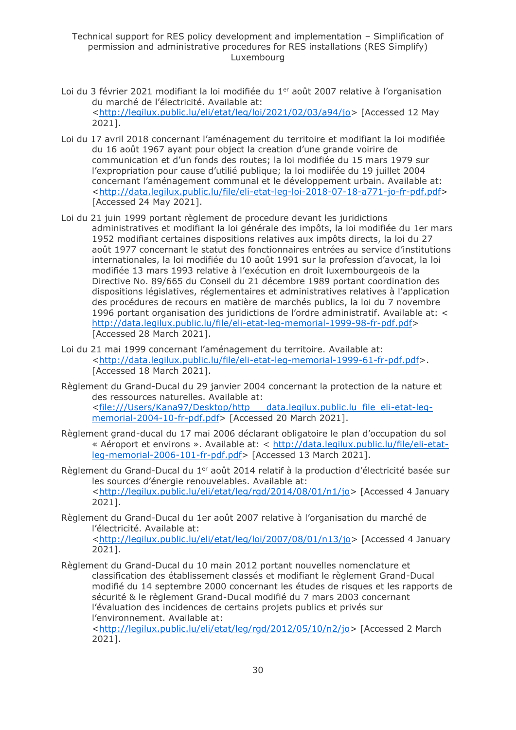- Loi du 3 février 2021 modifiant la loi modifiée du 1<sup>er</sup> août 2007 relative à l'organisation du marché de l'électricité. Available at: [<http://legilux.public.lu/eli/etat/leg/loi/2021/02/03/a94/jo>](http://legilux.public.lu/eli/etat/leg/loi/2021/02/03/a94/jo) [Accessed 12 May 2021].
- Loi du 17 avril 2018 concernant l'aménagement du territoire et modifiant la loi modifiée du 16 août 1967 ayant pour object la creation d'une grande voirire de communication et d'un fonds des routes; la loi modifiée du 15 mars 1979 sur l'expropriation pour cause d'utilié publique; la loi modiifée du 19 juillet 2004 concernant l'aménagement communal et le développement urbain. Available at: [<http://data.legilux.public.lu/file/eli-etat-leg-loi-2018-07-18-a771-jo-fr-pdf.pdf>](http://data.legilux.public.lu/file/eli-etat-leg-loi-2018-07-18-a771-jo-fr-pdf.pdf) [Accessed 24 May 2021].
- Loi du 21 juin 1999 portant règlement de procedure devant les juridictions administratives et modifiant la loi générale des impôts, la loi modifiée du 1er mars 1952 modifiant certaines dispositions relatives aux impôts directs, la loi du 27 août 1977 concernant le statut des fonctionnaires entrées au service d'institutions internationales, la loi modifiée du 10 août 1991 sur la profession d'avocat, la loi modifiée 13 mars 1993 relative à l'exécution en droit luxembourgeois de la Directive No. 89/665 du Conseil du 21 décembre 1989 portant coordination des dispositions législatives, réglementaires et administratives relatives à l'application des procédures de recours en matière de marchés publics, la loi du 7 novembre 1996 portant organisation des juridictions de l'ordre administratif. Available at: < [http://data.legilux.public.lu/file/eli-etat-leg-memorial-1999-98-fr-pdf.pdf>](http://data.legilux.public.lu/file/eli-etat-leg-memorial-1999-98-fr-pdf.pdf) [Accessed 28 March 2021].
- Loi du 21 mai 1999 concernant l'aménagement du territoire. Available at: [<http://data.legilux.public.lu/file/eli-etat-leg-memorial-1999-61-fr-pdf.pdf>](http://data.legilux.public.lu/file/eli-etat-leg-memorial-1999-61-fr-pdf.pdf). [Accessed 18 March 2021].
- Règlement du Grand-Ducal du 29 janvier 2004 concernant la protection de la nature et des ressources naturelles. Available at: [<file:///Users/Kana97/Desktop/http\\_\\_\\_data.legilux.public.lu\\_file\\_eli-etat-leg](file:///C:/Users/Kana97/Desktop/http___data.legilux.public.lu_file_eli-etat-leg-memorial-2004-10-fr-pdf.pdf)[memorial-2004-10-fr-pdf.pdf>](file:///C:/Users/Kana97/Desktop/http___data.legilux.public.lu_file_eli-etat-leg-memorial-2004-10-fr-pdf.pdf) [Accessed 20 March 2021].
- Règlement grand-ducal du 17 mai 2006 déclarant obligatoire le plan d'occupation du sol « Aéroport et environs ». Available at: < [http://data.legilux.public.lu/file/eli-etat](http://data.legilux.public.lu/file/eli-etat-leg-memorial-2006-101-fr-pdf.pdf)[leg-memorial-2006-101-fr-pdf.pdf>](http://data.legilux.public.lu/file/eli-etat-leg-memorial-2006-101-fr-pdf.pdf) [Accessed 13 March 2021].
- Règlement du Grand-Ducal du 1<sup>er</sup> août 2014 relatif à la production d'électricité basée sur les sources d'énergie renouvelables. Available at: [<http://legilux.public.lu/eli/etat/leg/rgd/2014/08/01/n1/jo>](http://legilux.public.lu/eli/etat/leg/rgd/2014/08/01/n1/jo) [Accessed 4 January 2021].
- Règlement du Grand-Ducal du 1er août 2007 relative à l'organisation du marché de l'électricité. Available at: [<http://legilux.public.lu/eli/etat/leg/loi/2007/08/01/n13/jo>](http://legilux.public.lu/eli/etat/leg/loi/2007/08/01/n13/jo) [Accessed 4 January 2021].
- Règlement du Grand-Ducal du 10 main 2012 portant nouvelles nomenclature et classification des établissement classés et modifiant le règlement Grand-Ducal modifié du 14 septembre 2000 concernant les études de risques et les rapports de sécurité & le règlement Grand-Ducal modifié du 7 mars 2003 concernant l'évaluation des incidences de certains projets publics et privés sur l'environnement. Available at:

[<http://legilux.public.lu/eli/etat/leg/rgd/2012/05/10/n2/jo>](http://legilux.public.lu/eli/etat/leg/rgd/2012/05/10/n2/jo) [Accessed 2 March 2021].